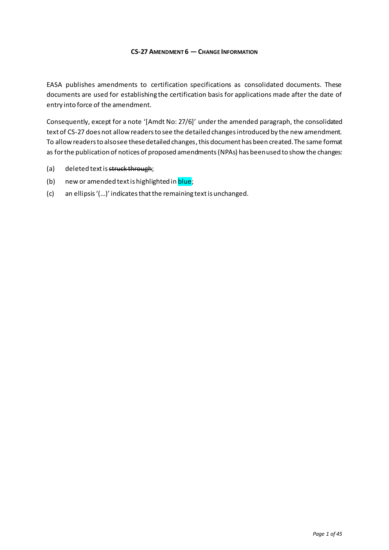#### **CS-27 AMENDMENT 6 — CHANGE INFORMATION**

EASA publishes amendments to certification specifications as consolidated documents. These documents are used for establishing the certification basis for applications made after the date of entry into force of the amendment.

Consequently, except for a note '[Amdt No: 27/6]' under the amended paragraph, the consolidated text of CS-27 does not allow readers to see the detailed changes introduced by the new amendment. To allow readers to also see these detailed changes, this document has been created. The same format as for the publication of notices of proposed amendments(NPAs) has been used to show the changes:

- (a) deleted text is struck through;
- (b) new or amended text is highlighted in **blue**;
- (c) an ellipsis '(…)' indicates that the remaining text is unchanged.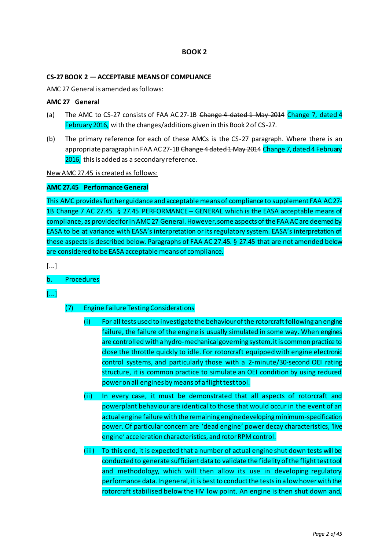# **BOOK 2**

#### **CS-27 BOOK 2 — ACCEPTABLE MEANS OF COMPLIANCE**

AMC 27 General is amended as follows:

#### **AMC 27 General**

- (a) The AMC to CS-27 consists of FAA AC 27-1B Change 4 dated 1 May 2014 Change 7, dated 4 February 2016, with the changes/additions given in this Book 2 of CS-27.
- (b) The primary reference for each of these AMCs is the CS-27 paragraph. Where there is an appropriate paragraph in FAA AC 27-1B Change 4 dated 1 May 2014 Change 7, dated 4 February 2016, this is added as a secondary reference.

New AMC 27.45 is created as follows:

## **AMC 27.45 Performance General**

This AMC provides further guidance and acceptable means of compliance to supplement FAA AC 27- 1B Change 7 AC 27.45. § 27.45 PERFORMANCE – GENERAL which is the EASA acceptable means of compliance, as provided for in AMC 27 General. However, some aspects of the FAA AC are deemed by EASA to be at variance with EASA's interpretation or its regulatory system. EASA's interpretation of these aspects is described below. Paragraphs of FAA AC 27.45. § 27.45 that are not amended below are considered to be EASA acceptable means of compliance.

[...]

# b. Procedures

[...]

# (7) Engine Failure Testing Considerations

- (i) For all tests used to investigate the behaviour of the rotorcraftfollowing an engine failure, the failure of the engine is usually simulated in some way. When engines are controlled with a hydro-mechanical governing system, it is common practice to close the throttle quickly to idle. For rotorcraft equipped with engine electronic control systems, and particularly those with a 2-minute/30-second OEI rating structure, it is common practice to simulate an OEI condition by using reduced power on all engines by means of a flight test tool.
- (ii) In every case, it must be demonstrated that all aspects of rotorcraft and powerplant behaviour are identical to those that would occur in the event of an actual engine failure with the remaining engine developing minimum-specification power. Of particular concern are 'dead engine' power decay characteristics, 'live engine' acceleration characteristics, and rotor RPM control.
- (iii) To this end, it is expected that a number of actual engine shut down tests will be conducted to generate sufficient data to validate the fidelity of the flight test tool and methodology, which will then allow its use in developing regulatory performance data. In general, it is best to conduct the tests in a low hover with the rotorcraft stabilised below the HV low point. An engine is then shut down and,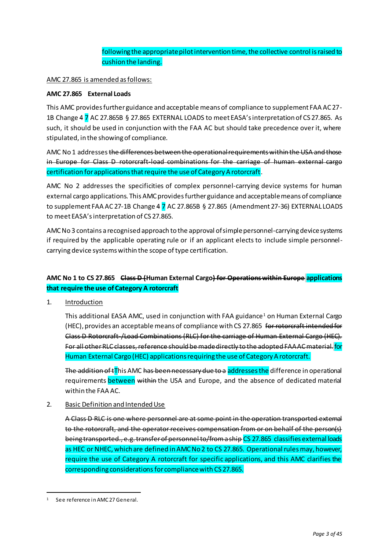# following the appropriate pilot intervention time, the collective control is raised to cushion the landing.

## AMC 27.865 is amended as follows:

## **AMC 27.865 External Loads**

This AMC provides further guidance and acceptable means of compliance to supplement FAA AC 27- 1B Change 4 7 AC 27.865B § 27.865 EXTERNAL LOADS to meet EASA's interpretation of CS 27.865. As such, it should be used in conjunction with the FAA AC but should take precedence over it, where stipulated, in the showing of compliance.

AMC No 1 addresses the differences between the operational requirements within the USA and those in Europe for Class D rotorcraft-load combinations for the carriage of human external cargo certification for applications that require the use of Category A rotorcraft.

AMC No 2 addresses the specificities of complex personnel-carrying device systems for human external cargo applications. This AMC provides further guidance and acceptable means of compliance to supplement FAA AC 27-1B Change 4 7 AC 27.865B § 27.865 (Amendment 27-36) EXTERNAL LOADS to meet EASA's interpretation of CS 27.865.

AMC No 3 contains a recognised approach to the approval of simple personnel-carrying device systems if required by the applicable operating rule or if an applicant elects to include simple personnelcarrying device systems within the scope of type certification.

# **AMC No 1 to CS 27.865 Class D (Human External Cargo) for Operations within Europe applications that require the use of Category A rotorcraft**

1. Introduction

This additional EASA AMC, used in conjunction with FAA guidance<sup>1</sup> on Human External Cargo (HEC), provides an acceptable means of compliance with CS 27.865 for rotorcraft intended for Class D Rotorcraft-/Load Combinations (RLC) for the carriage of Human External Cargo (HEC). For all other RLC classes, reference should be made directly to the adopted FAA AC material. for Human External Cargo (HEC) applications requiring the use of Category A rotorcraft.

The addition of tThis AMC has been necessary due to a addresses the difference in operational requirements between within the USA and Europe, and the absence of dedicated material within the FAA AC.

2. Basic Definition and Intended Use

A Class D RLC is one where personnel are at some point in the operation transported external to the rotorcraft, and the operator receives compensation from or on behalf of the person(s) being transported., e.g. transfer of personnel to/from a ship CS 27.865 classifies external loads as HEC or NHEC, which are defined in AMC No 2 to CS 27.865. Operational rules may, however, require the use of Category A rotorcraft for specific applications, and this AMC clarifies the corresponding considerations for compliance with CS 27.865.

 $\overline{a}$ 

<sup>1</sup> See reference in AMC 27 General.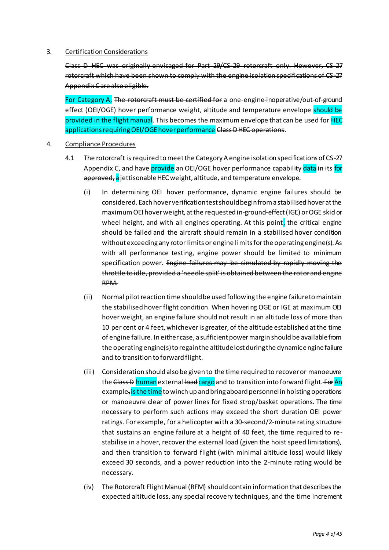## 3. Certification Considerations

Class D HEC was originally envisaged for Part 29/CS-29 rotorcraft only. However, CS-27 rotorcraft which have been shown to comply with the engine isolation specifications of CS-27 Appendix C are also eligible.

For Category A, The rotorcraft must be certified for a one-engine-inoperative/out-of-ground effect (OEI/OGE) hover performance weight, altitude and temperature envelope should be provided in the flight manual. This becomes the maximum envelope that can be used for HEC applications requiring OEI/OGE hover performance Class D HEC operations.

- 4. Compliance Procedures
	- 4.1 The rotorcraft is required to meet the Category A engine isolation specifications of CS-27 Appendix C, and have provide an OEI/OGE hover performance capability data in its for approved, a jettisonable HEC weight, altitude, and temperature envelope.
		- (i) In determining OEI hover performance, dynamic engine failures should be considered. Each hover verification test should begin from a stabilised hover at the maximum OEI hover weight, at the requested in-ground-effect (IGE) or OGE skid or wheel height, and with all engines operating. At this point, the critical engine should be failed and the aircraft should remain in a stabilised hover condition without exceeding any rotor limits or engine limits for the operating engine(s). As with all performance testing, engine power should be limited to minimum specification power. Engine failures may be simulated by rapidly moving the throttle to idle, provided a 'needle split' is obtained between the rotor and engine RPM.
		- (ii) Normal pilot reaction time should be used following the engine failure to maintain the stabilised hover flight condition. When hovering OGE or IGE at maximum OEI hover weight, an engine failure should not result in an altitude loss of more than 10 per cent or 4 feet, whichever is greater, of the altitude established at the time of engine failure. In either case, a sufficient power margin should be available from the operating engine(s) to regain the altitude lost during the dynamic engine failure and to transition to forward flight.
		- (iii) Consideration should also be given to the time required to recover or manoeuvre the Class D human external load cargo and to transition into forward flight. For An example, is the time to winch up and bring aboard personnel in hoisting operations or manoeuvre clear of power lines for fixed strop/basket operations. The time necessary to perform such actions may exceed the short duration OEI power ratings. For example, for a helicopter with a 30-second/2-minute rating structure that sustains an engine failure at a height of 40 feet, the time required to restabilise in a hover, recover the external load (given the hoist speed limitations), and then transition to forward flight (with minimal altitude loss) would likely exceed 30 seconds, and a power reduction into the 2-minute rating would be necessary.
		- (iv) The Rotorcraft Flight Manual (RFM) should contain information that describes the expected altitude loss, any special recovery techniques, and the time increment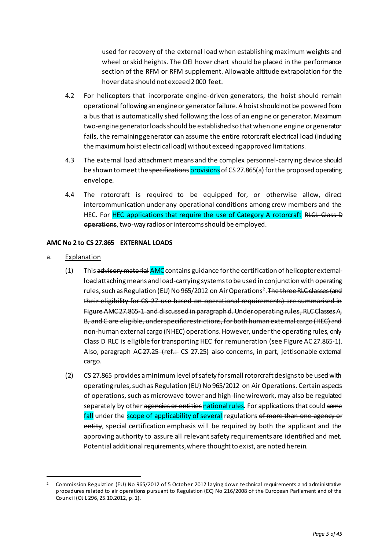used for recovery of the external load when establishing maximum weights and wheel or skid heights. The OEI hover chart should be placed in the performance section of the RFM or RFM supplement. Allowable altitude extrapolation for the hover data should not exceed 2 000 feet.

- 4.2 For helicopters that incorporate engine-driven generators, the hoist should remain operational following an engine or generator failure. A hoist should not be powered from a bus that is automatically shed following the loss of an engine or generator. Maximum two-engine generator loads should be established so that when one engine or generator fails, the remaining generator can assume the entire rotorcraft electrical load (including the maximum hoist electrical load) without exceeding approved limitations.
- 4.3 The external load attachment means and the complex personnel-carrying device should be shown to meet the specifications provisions of CS 27.865(a) for the proposed operating envelope.
- 4.4 The rotorcraft is required to be equipped for, or otherwise allow, direct intercommunication under any operational conditions among crew members and the HEC. For HEC applications that require the use of Category A rotorcraft RLCL Class D operations, two-way radios or intercoms should be employed.

## **AMC No 2 to CS 27.865 EXTERNAL LOADS**

a. Explanation

 $\overline{a}$ 

- (1) This advisory material AMC contains guidance for the certification of helicopter extemalload attaching means and load-carrying systems to be used in conjunction with operating rules, such as Regulation (EU) No 965/2012 on Air Operations<sup>2</sup>. <del>The three RLC classes (and</del> their eligibility for CS-27 use based on operational requirements) are summarised in Figure AMC 27.865-1 and discussed in paragraph d. Under operating rules, RLC Classes A, B, and C are eligible, under specific restrictions, for both human external cargo (HEC) and non-human external cargo (NHEC) operations. However, under the operating rules, only Class D RLC is eligible for transporting HEC for remuneration (see Figure AC 27.865-1). Also, paragraph AC 27.25 (ref.: CS 27.25) also concerns, in part, jettisonable extemal cargo.
- (2) CS 27.865 provides a minimum level of safety for small rotorcraft designs to be used with operating rules, such as Regulation (EU) No 965/2012 on Air Operations. Certain aspects of operations, such as microwave tower and high-line wirework, may also be regulated separately by other agencies or entities national rules. For applications that could come fall under the scope of applicability of several regulations of more than one agency or entity, special certification emphasis will be required by both the applicant and the approving authority to assure all relevant safety requirements are identified and met. Potential additional requirements, where thought to exist, are noted herein.

<sup>2</sup> Commission Regulation (EU) No 965/2012 of 5 October 2012 laying down technical requirements and administrative procedures related to air operations pursuant to Regulation (EC) No 216/2008 of the European Parliament and of the Council (OJ L 296, 25.10.2012, p. 1).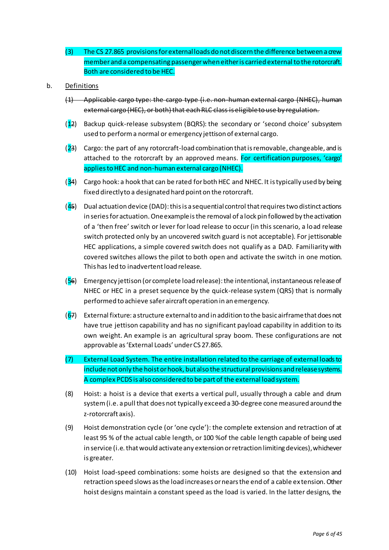- (3) The CS 27.865 provisions for external loads do not discern the difference between a crew member and a compensating passenger when either is carried external to the rotorcraft. Both are considered to be HEC.
- b. Definitions
	- (1) Applicable cargo type: the cargo type (i.e. non-human external cargo (NHEC), human external cargo (HEC), or both) that each RLC class is eligible to use by regulation.
	- (12) Backup quick-release subsystem (BQRS): the secondary or 'second choice' subsystem used to perform a normal or emergency jettison of external cargo.
	- $(23)$  Cargo: the part of any rotorcraft-load combination that is removable, changeable, and is attached to the rotorcraft by an approved means. For certification purposes, 'cargo' applies to HEC and non-human external cargo (NHEC).
	- $(34)$  Cargo hook: a hook that can be rated for both HEC and NHEC. It is typically used by being fixed directly to a designated hard point on the rotorcraft.
	- $(45)$  Dual actuation device (DAD): this is a sequential control that requires two distinct actions in series for actuation. One example is the removal of a lock pin followed by the activation of a 'then free' switch or lever for load release to occur (in this scenario, a load release switch protected only by an uncovered switch guard is not acceptable). For jettisonable HEC applications, a simple covered switch does not qualify as a DAD. Familiarity with covered switches allows the pilot to both open and activate the switch in one motion. This has led to inadvertent load release.
	- (56) Emergency jettison (or complete load release): the intentional, instantaneous release of NHEC or HEC in a preset sequence by the quick-release system (QRS) that is normally performed to achieve safer aircraft operation in an emergency.
	- $(67)$  External fixture: a structure external to and in addition to the basic airframe that does not have true jettison capability and has no significant payload capability in addition to its own weight. An example is an agricultural spray boom. These configurations are not approvable as 'External Loads' under CS 27.865.
	- (7) External Load System. The entire installation related to the carriage of external loads to include not only the hoist or hook, but also the structural provisions and release systems. A complex PCDS is also considered to be part of the external load system.
	- (8) Hoist: a hoist is a device that exerts a vertical pull, usually through a cable and drum system (i.e. a pull that does not typically exceed a 30-degree cone measured around the z-rotorcraft axis).
	- (9) Hoist demonstration cycle (or 'one cycle'): the complete extension and retraction of at least 95 % of the actual cable length, or 100 %of the cable length capable of being used in service (i.e. that would activate any extension or retraction limiting devices), whichever is greater.
	- (10) Hoist load-speed combinations: some hoists are designed so that the extension and retraction speed slows as the load increases or nears the end of a cable ex tension. Other hoist designs maintain a constant speed as the load is varied. In the latter designs, the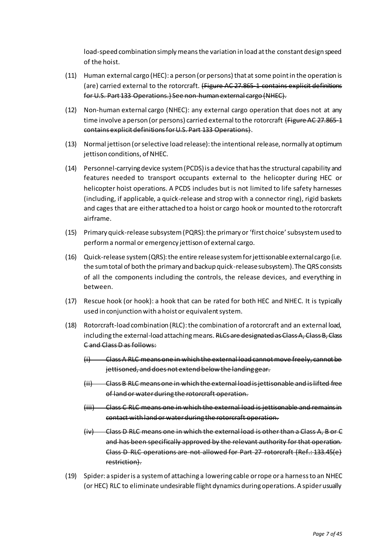load-speed combination simply means the variation in load at the constant design speed of the hoist.

- (11) Human external cargo (HEC): a person (or persons) that at some point in the operation is (are) carried external to the rotorcraft. (Figure AC 27.865-1 contains explicit definitions for U.S. Part 133 Operations.) See non-human external cargo (NHEC).
- (12) Non-human external cargo (NHEC): any external cargo operation that does not at any time involve a person (or persons) carried external to the rotorcraft (Figure AC 27.865-1 contains explicit definitions for U.S. Part 133 Operations).
- (13) Normal jettison (or selective load release): the intentional release, normally at optimum jettison conditions, of NHEC.
- (14) Personnel-carrying device system (PCDS) is a device that has the structural capability and features needed to transport occupants external to the helicopter during HEC or helicopter hoist operations. A PCDS includes but is not limited to life safety harnesses (including, if applicable, a quick-release and strop with a connector ring), rigid baskets and cages that are either attached to a hoist or cargo hook or mounted to the rotorcraft airframe.
- (15) Primary quick-release subsystem (PQRS): the primary or 'first choice' subsystem used to perform a normal or emergency jettison of external cargo.
- (16) Quick-release system (QRS): the entire release system for jettisonable external cargo (i.e. the sum total of both the primary and backup quick-release subsystem). The QRS consists of all the components including the controls, the release devices, and everything in between.
- (17) Rescue hook (or hook): a hook that can be rated for both HEC and NHEC. It is typically used in conjunction with a hoist or equivalent system.
- (18) Rotorcraft-load combination (RLC): the combination of a rotorcraft and an external load, including the external-load attaching means. RLCs are designated as Class A, Class B, Class C and Class D as follows:
	- (i) Class A RLC means one in which the external load cannot move freely, cannot be jettisoned, and does not extend below the landing gear.
	- (ii) Class B RLC means one in which the external load is jettisonable and is lifted free of land or water during the rotorcraft operation.
	- (iii) Class C RLC means one in which the external load is jettisonable and remains in contact with land or water during the rotorcraft operation.
	- (iv) Class D RLC means one in which the external load is other than a Class A, B or C and has been specifically approved by the relevant authority for that operation. Class D RLC operations are not allowed for Part 27 rotorcraft (Ref.: 133.45(e) restriction).
- (19) Spider: a spider is a system of attaching a lowering cable or rope or a harness to an NHEC (or HEC) RLC to eliminate undesirable flight dynamics during operations. A spider usually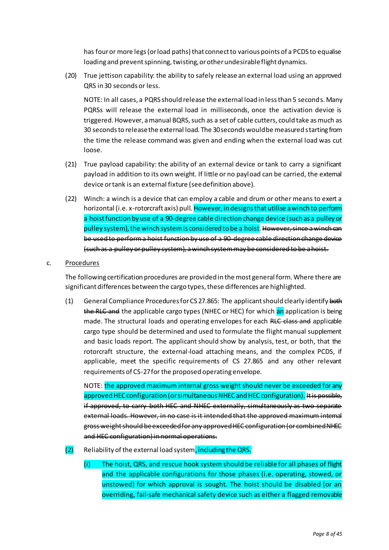has four or more legs (or load paths) that connect to various points of a PCDS to equalise loading and prevent spinning, twisting, or other undesirable flight dynamics.

(20) True jettison capability: the ability to safely release an external load using an approved QRS in 30 seconds or less.

NOTE: In all cases, a PQRS should release the external load in less than 5 seconds. Many PQRSs will release the external load in milliseconds, once the activation device is triggered. However, a manual BQRS, such as a set of cable cutters, could take as much as 30 seconds to release the external load. The 30 seconds would be measured starting from the time the release command was given and ending when the external load was cut loose.

- (21) True payload capability: the ability of an external device or tank to carry a significant payload in addition to its own weight. If little or no payload can be carried, the external device or tank is an external fixture (see definition above).
- (22) Winch: a winch is a device that can employ a cable and drum or other means to exert a horizontal (i.e. x-rotorcraft axis) pull. However, in designs that utilise a winch to perform a hoist function by use of a 90-degree cable direction change device (such as a pulley or pulley system), the winch system is considered to be a hoist. However, since a winch can be used to perform a hoist function by use of a 90-degree cable direction change device (such as a pulley or pulley system), a winch system may be considered to be a hoist.

## c. Procedures

The following certification procedures are provided in the most general form. Where there are significant differences between the cargo types, these differences are highlighted.

(1) General Compliance Procedures for CS 27.865: The applicant should clearly identify both the RLC and the applicable cargo types (NHEC or HEC) for which an application is being made. The structural loads and operating envelopes for each RLC class and applicable cargo type should be determined and used to formulate the flight manual supplement and basic loads report. The applicant should show by analysis, test, or both, that the rotorcraft structure, the external-load attaching means, and the complex PCDS, if applicable, meet the specific requirements of CS 27.865 and any other relevant requirements of CS-27 for the proposed operating envelope.

NOTE: the approved maximum internal gross weight should never be exceeded for any approved HEC configuration (or simultaneous NHEC and HEC configuration). It is possible, if approved, to carry both HEC and NHEC externally, simultaneously as two separate external loads. However, in no case is it intended that the approved maximum internal gross weight should be exceeded for any approved HEC configuration (or combined NHEC and HEC configuration) in normal operations.

- $(2)$  Reliability of the external load system, including the QRS.
	- (i) The hoist, QRS, and rescue hook system should be reliable for all phases of flight and the applicable configurations for those phases (i.e. operating, stowed, or unstowed) for which approval is sought. The hoist should be disabled (or an overriding, fail-safe mechanical safety device such as either a flagged removable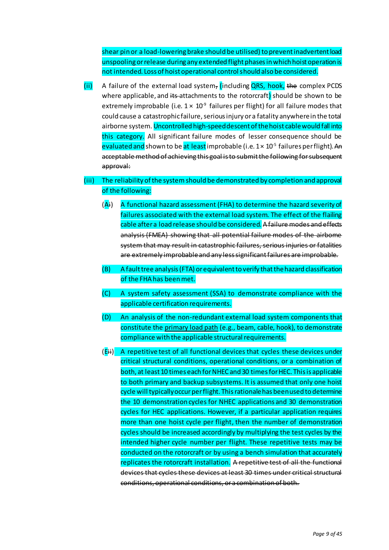shear pin or a load-lowering brake should be utilised) to prevent inadvertent load unspooling or release during any extended flight phases in which hoist operation is not intended. Loss of hoist operational control should also be considered.

(ii) A failure of the external load system, (including QRS, hook, the complex PCDS where applicable, and its attachments to the rotorcraft) should be shown to be extremely improbable (i.e.  $1 \times 10^{\circ}$  failures per flight) for all failure modes that could cause a catastrophic failure, serious injury or a fatality anywhere in the total airborne system. Uncontrolled high-speed descent of the hoist cable would fall into this category. All significant failure modes of lesser consequence should be <mark>evaluated and</mark> shown to be <mark>at least</mark> improbable (i.e. 1× 10<sup>-5</sup> failures per flight). <del>An</del> acceptable method of achieving this goal is to submit the following for subsequent approval:

# (iii) The reliability of the system should be demonstrated by completion and approval of the following:

- $(A<sup>i</sup>)$  A functional hazard assessment (FHA) to determine the hazard severity of failures associated with the external load system. The effect of the flailing cable after a load release should be considered. A failure modes and effects analysis (FMEA) showing that all potential failure modes of the airbome system that may result in catastrophic failures, serious injuries or fatalities are extremely improbable and any less significant failures are improbable.
- (B) A fault tree analysis (FTA) or equivalent to verify that the hazard classification of the FHA has been met.
- (C) A system safety assessment (SSA) to demonstrate compliance with the applicable certification requirements.
- (D) An analysis of the non-redundant external load system components that constitute the primary load path (e.g., beam, cable, hook), to demonstrate compliance with the applicable structural requirements.
- (Eii) A repetitive test of all functional devices that cycles these devices under critical structural conditions, operational conditions, or a combination of both, at least 10 times each for NHEC and 30 times for HEC. This is applicable to both primary and backup subsystems. It is assumed that only one hoist cycle will typically occur per flight. This rationale has been used to determine the 10 demonstration cycles for NHEC applications and 30 demonstration cycles for HEC applications. However, if a particular application requires more than one hoist cycle per flight, then the number of demonstration cycles should be increased accordingly by multiplying the test cycles by the intended higher cycle number per flight. These repetitive tests may be conducted on the rotorcraft or by using a bench simulation that accurately replicates the rotorcraft installation. A repetitive test of all the functional devices that cycles these devices at least 30 times under critical structural conditions, operational conditions, or a combination of both.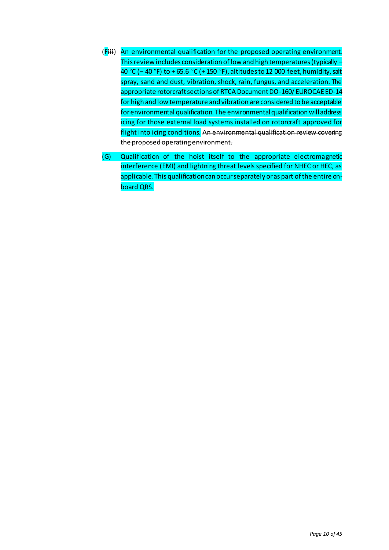- (Fiii) An environmental qualification for the proposed operating environment. This review includes consideration of low and high temperatures (typically – 40 °C (– 40 °F) to + 65.6 °C (+ 150 °F), altitudes to 12 000 feet, humidity, salt spray, sand and dust, vibration, shock, rain, fungus, and acceleration. The appropriate rotorcraft sections of RTCA Document DO-160/ EUROCAE ED-14 for high and low temperature and vibration are considered to be acceptable for environmental qualification. The environmental qualification will address icing for those external load systems installed on rotorcraft approved for flight into icing conditions. An environmental qualification review covering the proposed operating environment.
- (G) Qualification of the hoist itself to the appropriate electromagnetic interference (EMI) and lightning threat levels specified for NHEC or HEC, as applicable. This qualification can occur separately or as part of the entire onboard QRS.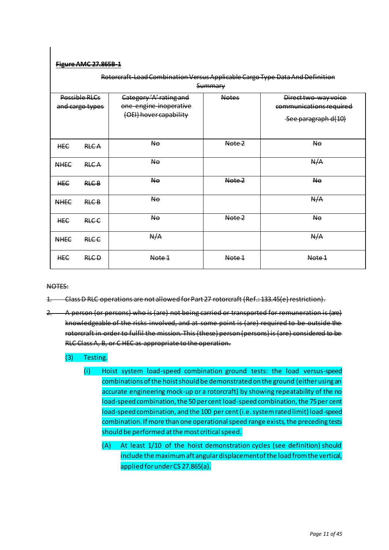## **Figure AMC 27.865B-1**

| Rotorcraft-Load Combination Versus Applicable Cargo Type Data And Definition<br>Summary |              |                                                                             |              |                                                                        |
|-----------------------------------------------------------------------------------------|--------------|-----------------------------------------------------------------------------|--------------|------------------------------------------------------------------------|
| Possible RLCs<br>and cargo types                                                        |              | Category 'A' rating and<br>one-engine-inoperative<br>(OEI) hover capability | <b>Notes</b> | Direct two-way voice<br>communications required<br>See paragraph d(10) |
| <b>HEC</b>                                                                              | <b>RLCA</b>  | No.                                                                         | Note 2       | <b>No</b>                                                              |
| <b>NHEC</b>                                                                             | <b>RLCA</b>  | <b>No</b>                                                                   |              | N/A                                                                    |
| <b>HEC</b>                                                                              | <b>RLC-B</b> | N <sub>0</sub>                                                              | Note 2       | N <sub>0</sub>                                                         |
| <b>NHEC</b>                                                                             | <b>RLC-B</b> | No.                                                                         |              | N/A                                                                    |
| <b>HEC</b>                                                                              | <b>RLC-C</b> | No.                                                                         | Note 2       | <b>No</b>                                                              |
| <b>NHEC</b>                                                                             | <b>RLC-C</b> | N/A                                                                         |              | N/A                                                                    |
| <b>HEC</b>                                                                              | <b>RLC-D</b> | Note 1                                                                      | Note 1       | Note 1                                                                 |

NOTES:

- 1. Class D RLC operations are not allowed for Part 27 rotorcraft (Ref.: 133.45(e) restriction).
- 2. A person (or persons) who is (are) not being carried or transported for remuneration is (are) knowledgeable of the risks involved, and at some point is (are) required to be outside the rotorcraft in order to fulfil the mission. This (these) person (persons) is (are) considered to be RLC Class A, B, or C HEC as appropriate to the operation.

#### (3) Testing.

- (i) Hoist system load-speed combination ground tests: the load versus-speed combinations of the hoist should be demonstrated on the ground (either using an accurate engineering mock-up or a rotorcraft) by showing repeatability of the no load-speed combination, the 50 per cent load-speed combination, the 75 per cent load-speed combination, and the 100 per cent (i.e. system rated limit) load-speed combination. If more than one operational speed range exists, the preceding tests should be performed at the most critical speed.
	- (A) At least 1/10 of the hoist demonstration cycles (see definition) should include the maximum aft angular displacement of the load from the vertical, applied for under CS 27.865(a).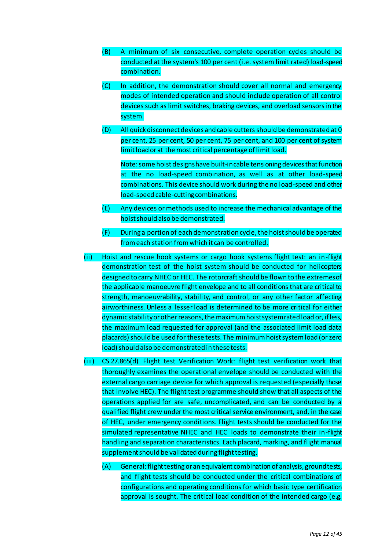- (B) A minimum of six consecutive, complete operation cycles should be conducted at the system's 100 per cent (i.e. system limit rated) load-speed combination.
- (C) In addition, the demonstration should cover all normal and emergency modes of intended operation and should include operation of all control devices such as limit switches, braking devices, and overload sensors in the system.
- (D) All quick disconnect devices and cable cutters should be demonstrated at 0 per cent, 25 per cent, 50 per cent, 75 per cent, and 100 per cent of system limit load or at the most critical percentage of limit load.

Note: some hoist designs have built-in cable tensioning devices that function at the no load-speed combination, as well as at other load-speed combinations. This device should work during the no load-speed and other load-speed cable-cutting combinations.

- (E) Any devices or methods used to increase the mechanical advantage of the hoist should also be demonstrated.
- (F) During a portion of each demonstration cycle, the hoist should be operated from each station from which it can be controlled.
- (ii) Hoist and rescue hook systems or cargo hook systems flight test: an in-flight demonstration test of the hoist system should be conducted for helicopters designed to carry NHEC or HEC. The rotorcraft should be flown to the extremes of the applicable manoeuvre flight envelope and to all conditions that are critical to strength, manoeuvrability, stability, and control, or any other factor affecting airworthiness. Unless a lesser load is determined to be more critical for either dynamic stability or other reasons, the maximum hoist system rated load or, if less, the maximum load requested for approval (and the associated limit load data placards) should be used for these tests. The minimum hoist system load (or zero load) should also be demonstrated in these tests.
- (iii) CS 27.865(d) Flight test Verification Work: flight test verification work that thoroughly examines the operational envelope should be conducted with the external cargo carriage device for which approval is requested (especially those that involve HEC). The flight test programme should show that all aspects of the operations applied for are safe, uncomplicated, and can be conducted by a qualified flight crew under the most critical service environment, and, in the case of HEC, under emergency conditions. Flight tests should be conducted for the simulated representative NHEC and HEC loads to demonstrate their in-flight handling and separation characteristics. Each placard, marking, and flight manual supplement should be validated during flight testing.
	- (A) General: flight testing or an equivalent combination of analysis, ground tests, and flight tests should be conducted under the critical combinations of configurations and operating conditions for which basic type certification approval is sought. The critical load condition of the intended cargo (e.g.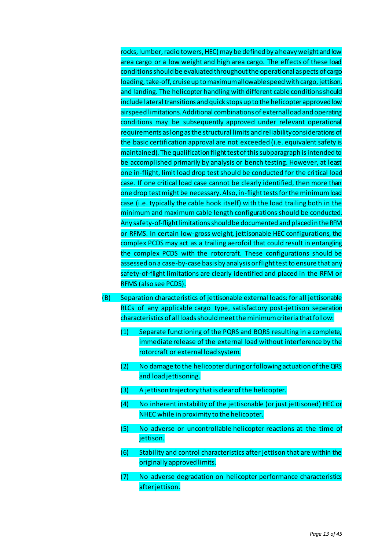rocks, lumber, radio towers, HEC) may be defined by a heavy weight and low area cargo or a low weight and high area cargo. The effects of these load conditions should be evaluated throughout the operational aspects of cargo loading, take-off, cruise up to maximum allowable speed with cargo, jettison, and landing. The helicopter handling with different cable conditions should include lateral transitions and quick stops up to the helicopter approved low airspeed limitations. Additional combinations of external load and operating conditions may be subsequently approved under relevant operational requirements as long as the structural limits and reliability considerations of the basic certification approval are not exceeded (i.e. equivalent safety is maintained). The qualification flight test of this subparagraph is intended to be accomplished primarily by analysis or bench testing. However, at least one in-flight, limit load drop test should be conducted for the critical load case. If one critical load case cannot be clearly identified, then more than one drop test might be necessary. Also, in-flight tests for the minimum load case (i.e. typically the cable hook itself) with the load trailing both in the minimum and maximum cable length configurations should be conducted. Any safety-of-flight limitations should be documented and placed in the RFM or RFMS. In certain low-gross weight, jettisonable HEC configurations, the complex PCDS may act as a trailing aerofoil that could result in entangling the complex PCDS with the rotorcraft. These configurations should be assessed on a case-by-case basis by analysis or flight test to ensure that any safety-of-flight limitations are clearly identified and placed in the RFM or RFMS (also see PCDS).

- (B) Separation characteristics of jettisonable external loads: for all jettisonable RLCs of any applicable cargo type, satisfactory post-jettison separation characteristics of all loads should meet the minimum criteria that follow:
	- (1) Separate functioning of the PQRS and BQRS resulting in a complete, immediate release of the external load without interference by the rotorcraft or external load system.
	- (2) No damage to the helicopter during or following actuation of the QRS and load jettisoning.
	- (3) A jettison trajectory that is clear of the helicopter.
	- (4) No inherent instability of the jettisonable (or just jettisoned) HEC or NHEC while in proximity to the helicopter.
	- (5) No adverse or uncontrollable helicopter reactions at the time of jettison.
	- (6) Stability and control characteristics after jettison that are within the originally approved limits.
	- (7) No adverse degradation on helicopter performance characteristics after jettison.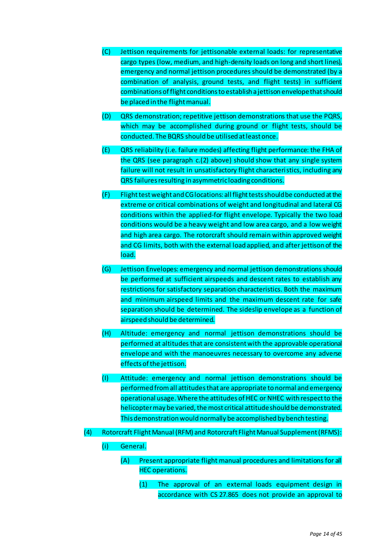- (C) Jettison requirements for jettisonable external loads: for representative cargo types (low, medium, and high-density loads on long and short lines), emergency and normal jettison procedures should be demonstrated (by a combination of analysis, ground tests, and flight tests) in sufficient combinations of flight conditions to establish a jettison envelope that should be placed in the flight manual.
- (D) QRS demonstration; repetitive jettison demonstrations that use the PQRS, which may be accomplished during ground or flight tests, should be conducted. The BQRS should be utilised at least once.
- (E) QRS reliability (i.e. failure modes) affecting flight performance: the FHA of the QRS (see paragraph c.(2) above) should show that any single system failure will not result in unsatisfactory flight characteristics, including any QRS failures resulting in asymmetric loading conditions.
- (F) Flight test weight and CG locations: all flight tests should be conducted at the extreme or critical combinations of weight and longitudinal and lateral CG conditions within the applied-for flight envelope. Typically the two load conditions would be a heavy weight and low area cargo, and a low weight and high area cargo. The rotorcraft should remain within approved weight and CG limits, both with the external load applied, and after jettison of the load.
- (G) Jettison Envelopes: emergency and normal jettison demonstrations should be performed at sufficient airspeeds and descent rates to establish any restrictions for satisfactory separation characteristics. Both the maximum and minimum airspeed limits and the maximum descent rate for safe separation should be determined. The sideslip envelope as a function of airspeed should be determined.
- (H) Altitude: emergency and normal jettison demonstrations should be performed at altitudes that are consistent with the approvable operational envelope and with the manoeuvres necessary to overcome any adverse effects of the jettison.
- (I) Attitude: emergency and normal jettison demonstrations should be performed from all attitudes that are appropriate to normal and emergency operational usage. Where the attitudes of HEC or NHEC with respect to the helicopter may be varied, the most critical attitude should be demonstrated. This demonstration would normally be accomplished by bench testing.
- (4) Rotorcraft Flight Manual (RFM) and Rotorcraft Flight Manual Supplement (RFMS):
	- (i) General.
		- (A) Present appropriate flight manual procedures and limitations for all HEC operations.
			- (1) The approval of an external loads equipment design in accordance with CS 27.865 does not provide an approval to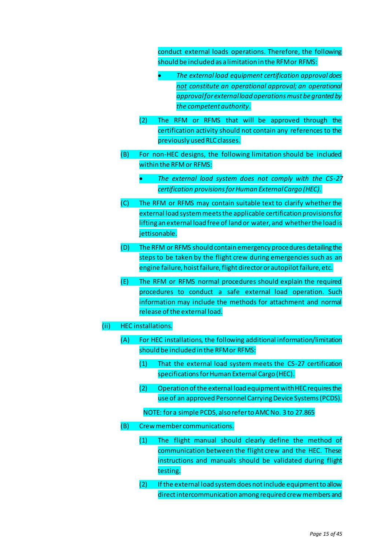conduct external loads operations. Therefore, the following should be included as a limitation in the RFM or RFMS:

- *The external load equipment certification approval does not constitute an operational approval; an operational approval for external load operations must be granted by the competent authority*.
- (2) The RFM or RFMS that will be approved through the certification activity should not contain any references to the previously used RLC classes.
- (B) For non-HEC designs, the following limitation should be included within the RFM or RFMS:
	- *The external load system does not comply with the CS-27 certification provisions for Human External Cargo (HEC).*
- (C) The RFM or RFMS may contain suitable text to clarify whether the external load system meets the applicable certification provisions for lifting an external load free of land or water, and whether the load is jettisonable.
- (D) The RFM or RFMS should contain emergency procedures detailing the steps to be taken by the flight crew during emergencies such as an engine failure, hoist failure, flight director or autopilot failure, etc.
- (E) The RFM or RFMS normal procedures should explain the required procedures to conduct a safe external load operation. Such information may include the methods for attachment and normal release of the external load.

#### (ii) HEC installations.

- (A) For HEC installations, the following additional information/limitation should be included in the RFM or RFMS:
	- (1) That the external load system meets the CS-27 certification specifications for Human External Cargo (HEC).
	- (2) Operation of the external load equipment with HEC requires the use of an approved Personnel Carrying Device Systems (PCDS).
	- NOTE: for a simple PCDS, also refer to AMC No. 3 to 27.865
- (B) Crew member communications.
	- (1) The flight manual should clearly define the method of communication between the flight crew and the HEC. These instructions and manuals should be validated during flight testing.
	- (2) If the external load system does not include equipment to allow direct intercommunication among required crew members and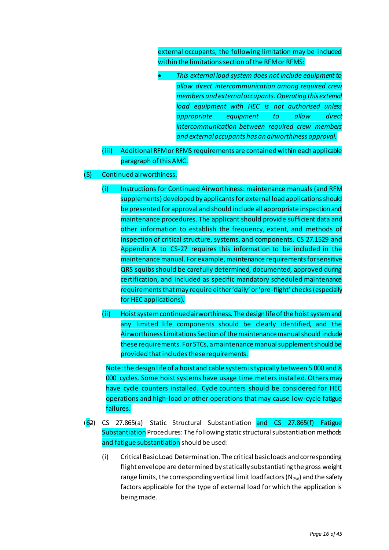external occupants, the following limitation may be included within the limitations section of the RFM or RFMS:

- *This external load system does not include equipment to allow direct intercommunication among required crew members and external occupants. Operating this external load equipment with HEC is not authorised unless appropriate equipment to allow direct intercommunication between required crew members and external occupants has an airworthiness approval.*
- (iii) Additional RFM or RFMS requirements are contained within each applicable paragraph of this AMC.

## (5) Continued airworthiness.

- (i) Instructions for Continued Airworthiness: maintenance manuals (and RFM supplements) developed by applicants for external load applications should be presented for approval and should include all appropriate inspection and maintenance procedures. The applicant should provide sufficient data and other information to establish the frequency, extent, and methods of inspection of critical structure, systems, and components. CS 27.1529 and Appendix A to CS-27 requires this information to be included in the maintenance manual. For example, maintenance requirements for sensitive QRS squibs should be carefully determined, documented, approved during certification, and included as specific mandatory scheduled maintenance requirements that may require either 'daily' or 'pre-flight' checks (especially for HEC applications).
- (ii) Hoist system continued airworthiness. The design life of the hoist system and any limited life components should be clearly identified, and the Airworthiness Limitations Section of the maintenance manual should include these requirements. For STCs, a maintenance manual supplement should be provided that includes these requirements.

Note: the design life of a hoist and cable system is typically between 5 000 and 8 000 cycles. Some hoist systems have usage time meters installed. Others may have cycle counters installed. Cycle counters should be considered for HEC operations and high-load or other operations that may cause low-cycle fatigue failures.

- (62) CS 27.865(a) Static Structural Substantiation and CS 27.865(f) Fatigue Substantiation Procedures: The following static structural substantiation methods and fatigue substantiation should be used:
	- (i) Critical Basic Load Determination. The critical basic loads and corresponding flight envelope are determined by statically substantiating the gross weight range limits, the corresponding vertical limit load factors ( $N_{zw}$ ) and the safety factors applicable for the type of external load for which the application is being made.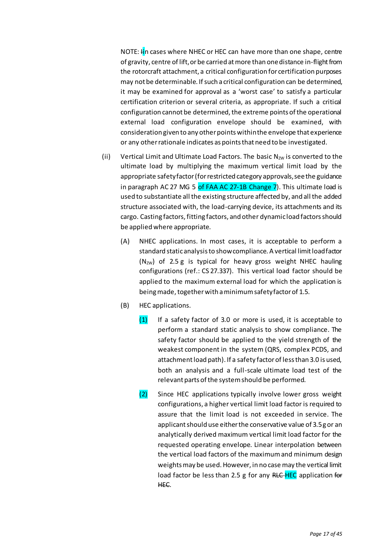NOTE: In cases where NHEC or HEC can have more than one shape, centre of gravity, centre of lift, or be carried at more than one distance in-flight from the rotorcraft attachment, a critical configuration for certification purposes may not be determinable. If such a critical configuration can be determined, it may be examined for approval as a 'worst case' to satisfy a particular certification criterion or several criteria, as appropriate. If such a critical configuration cannot be determined, the extreme points of the operational external load configuration envelope should be examined, with consideration given to any other points within the envelope that experience or any other rationale indicates as points that need to be investigated.

- (ii) Vertical Limit and Ultimate Load Factors. The basic  $N_{zw}$  is converted to the ultimate load by multiplying the maximum vertical limit load by the appropriate safety factor (for restricted category approvals, see the guidance in paragraph AC 27 MG 5 of FAA AC 27-1B Change 7). This ultimate load is used to substantiate all the existing structure affected by, and all the added structure associated with, the load-carrying device, its attachments and its cargo. Casting factors, fitting factors, and other dynamic load factors should be applied where appropriate.
	- (A) NHEC applications. In most cases, it is acceptable to perform a standard static analysis to show compliance. A vertical limit load factor  $(N_{zw})$  of 2.5 g is typical for heavy gross weight NHEC hauling configurations (ref.: CS 27.337). This vertical load factor should be applied to the maximum external load for which the application is being made, together with a minimum safety factor of 1.5.
	- (B) HEC applications.
		- $(1)$  If a safety factor of 3.0 or more is used, it is acceptable to perform a standard static analysis to show compliance. The safety factor should be applied to the yield strength of the weakest component in the system (QRS, complex PCDS, and attachment load path). If a safety factor of less than 3.0 is used, both an analysis and a full-scale ultimate load test of the relevant parts of the system should be performed.
		- (2) Since HEC applications typically involve lower gross weight configurations, a higher vertical limit load factor is required to assure that the limit load is not exceeded in service. The applicant should use either the conservative value of 3.5 g or an analytically derived maximum vertical limit load factor for the requested operating envelope. Linear interpolation between the vertical load factors of the maximum and minimum design weights may be used. However, in no case may the vertical limit load factor be less than 2.5 g for any RLC-HEC application for HEC.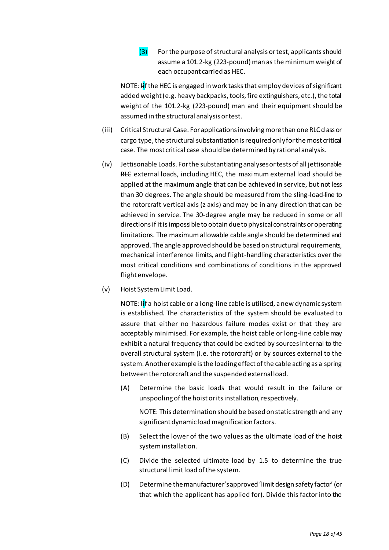# $(3)$  For the purpose of structural analysis or test, applicants should assume a 101.2-kg (223-pound) man as the minimum weight of each occupant carried as HEC.

NOTE: If the HEC is engaged in work tasks that employ devices of significant added weight (e.g. heavy backpacks, tools, fire extinguishers, etc.), the total weight of the 101.2-kg (223-pound) man and their equipment should be assumed in the structural analysis or test.

- (iii) Critical Structural Case. For applications involving more than one RLC class or cargo type, the structural substantiation is required only for the most critical case. The most critical case should be determined by rational analysis.
- (iv) Jettisonable Loads. For the substantiating analyses or tests of all jettisonable RLC external loads, including HEC, the maximum external load should be applied at the maximum angle that can be achieved in service, but not less than 30 degrees. The angle should be measured from the sling-load-line to the rotorcraft vertical axis (z axis) and may be in any direction that can be achieved in service. The 30-degree angle may be reduced in some or all directions if it is impossible to obtain due to physical constraints or operating limitations. The maximum allowable cable angle should be determined and approved. The angle approved should be based on structural requirements, mechanical interference limits, and flight-handling characteristics over the most critical conditions and combinations of conditions in the approved flight envelope.
- (v) Hoist System Limit Load.

NOTE: If a hoist cable or a long-line cable is utilised, a new dynamic system is established. The characteristics of the system should be evaluated to assure that either no hazardous failure modes exist or that they are acceptably minimised. For example, the hoist cable or long-line cable may exhibit a natural frequency that could be excited by sources internal to the overall structural system (i.e. the rotorcraft) or by sources external to the system. Another example is the loading effect of the cable acting as a spring between the rotorcraft and the suspended external load.

(A) Determine the basic loads that would result in the failure or unspooling of the hoist or its installation, respectively.

NOTE: This determination should be based on static strength and any significant dynamic load magnification factors.

- (B) Select the lower of the two values as the ultimate load of the hoist system installation.
- (C) Divide the selected ultimate load by 1.5 to determine the true structural limit load of the system.
- (D) Determine the manufacturer's approved 'limit design safety factor' (or that which the applicant has applied for). Divide this factor into the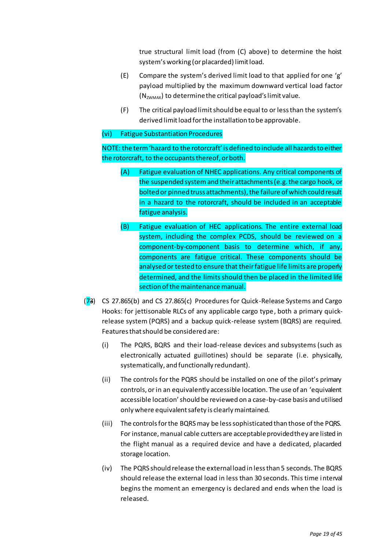true structural limit load (from (C) above) to determine the hoist system's working (or placarded) limit load.

- (E) Compare the system's derived limit load to that applied for one 'g' payload multiplied by the maximum downward vertical load factor  $(N_{ZWMAX})$  to determine the critical payload's limit value.
- (F) The critical payload limit should be equal to or less than the system's derived limit load for the installation to be approvable.

## (vi) Fatigue Substantiation Procedures

NOTE: the term 'hazard to the rotorcraft' is defined to include all hazards to either the rotorcraft, to the occupants thereof, or both.

- (A) Fatigue evaluation of NHEC applications. Any critical components of the suspended system and their attachments (e.g. the cargo hook, or bolted or pinned truss attachments), the failure of which could result in a hazard to the rotorcraft, should be included in an acceptable fatigue analysis.
- (B) Fatigue evaluation of HEC applications. The entire external load system, including the complex PCDS, should be reviewed on a component-by-component basis to determine which, if any, components are fatigue critical. These components should be analysed or tested to ensure that their fatigue life limits are properly determined, and the limits should then be placed in the limited life section of the maintenance manual.
- (73) CS 27.865(b) and CS 27.865(c) Procedures for Quick-Release Systems and Cargo Hooks: for jettisonable RLCs of any applicable cargo type, both a primary quickrelease system (PQRS) and a backup quick-release system (BQRS) are required. Features that should be considered are:
	- (i) The PQRS, BQRS and their load-release devices and subsystems (such as electronically actuated guillotines) should be separate (i.e. physically, systematically, and functionally redundant).
	- (ii) The controls for the PQRS should be installed on one of the pilot's primary controls, or in an equivalently accessible location. The use of an 'equivalent accessible location' should be reviewed on a case-by-case basis and utilised only where equivalent safety is clearly maintained.
	- (iii) The controls for the BQRS may be less sophisticated than those of the PQRS. For instance, manual cable cutters are acceptable provided they are listed in the flight manual as a required device and have a dedicated, placarded storage location.
	- (iv) The PQRS should release the external load in less than 5 seconds. The BQRS should release the external load in less than 30 seconds. This time interval begins the moment an emergency is declared and ends when the load is released.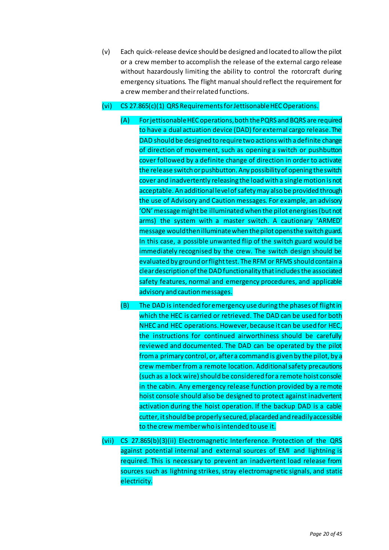(v) Each quick-release device should be designed and located to allow the pilot or a crew member to accomplish the release of the external cargo release without hazardously limiting the ability to control the rotorcraft during emergency situations. The flight manual should reflect the requirement for a crew member and their related functions.

# (vi) CS 27.865(c)(1) QRS Requirements for Jettisonable HEC Operations.

- (A) For jettisonable HEC operations, both the PQRS and BQRS are required to have a dual actuation device (DAD) for external cargo release. The DAD should be designed to require two actions with a definite change of direction of movement, such as opening a switch or pushbutton cover followed by a definite change of direction in order to activate the release switch or pushbutton. Any possibility of opening the switch cover and inadvertently releasing the load with a single motion is not acceptable. An additional level of safety may also be provided through the use of Advisory and Caution messages. For example, an advisory 'ON' message might be illuminated when the pilot energises (but not arms) the system with a master switch. A cautionary 'ARMED' message would thenilluminate when the pilot opens the switch guard. In this case, a possible unwanted flip of the switch guard would be immediately recognised by the crew. The switch design should be evaluated by ground or flight test. The RFM or RFMS should contain a clear description of the DAD functionality that includes the associated safety features, normal and emergency procedures, and applicable advisory and caution messages.
- (B) The DAD is intended for emergency use during the phases of flight in which the HEC is carried or retrieved. The DAD can be used for both NHEC and HEC operations. However, because it can be used for HEC, the instructions for continued airworthiness should be carefully reviewed and documented. The DAD can be operated by the pilot from a primary control, or, after a command is given by the pilot, by a crew member from a remote location. Additional safety precautions (such as a lock wire) should be considered for a remote hoist console in the cabin. Any emergency release function provided by a remote hoist console should also be designed to protect against inadvertent activation during the hoist operation. If the backup DAD is a cable cutter, it should be properly secured, placarded and readily accessible to the crew member who is intended to use it.
- (vii) CS 27.865(b)(3)(ii) Electromagnetic Interference. Protection of the QRS against potential internal and external sources of EMI and lightning is required. This is necessary to prevent an inadvertent load release from sources such as lightning strikes, stray electromagnetic signals, and static electricity.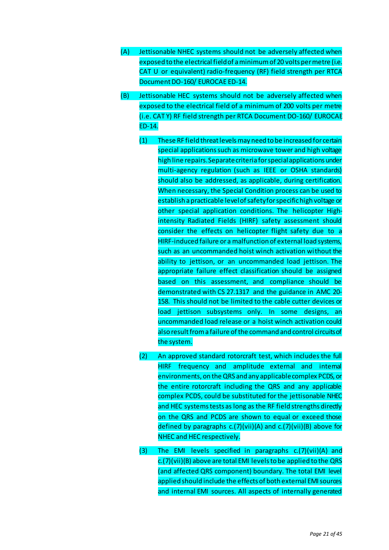- (A) Jettisonable NHEC systems should not be adversely affected when exposed to the electrical field of a minimum of 20 volts per metre (i.e. CAT U or equivalent) radio-frequency (RF) field strength per RTCA Document DO-160/ EUROCAE ED-14.
- (B) Jettisonable HEC systems should not be adversely affected when exposed to the electrical field of a minimum of 200 volts per metre (i.e. CAT Y) RF field strength per RTCA Document DO-160/ EUROCAE ED-14.
	- (1) These RF field threat levels may need to be increased for certain special applications such as microwave tower and high voltage high line repairs. Separate criteria for special applications under multi-agency regulation (such as IEEE or OSHA standards) should also be addressed, as applicable, during certification. When necessary, the Special Condition process can be used to establish a practicable level of safety for specific high voltage or other special application conditions. The helicopter Highintensity Radiated Fields (HIRF) safety assessment should consider the effects on helicopter flight safety due to a HIRF-induced failure or a malfunction of external load systems, such as an uncommanded hoist winch activation without the ability to jettison, or an uncommanded load jettison. The appropriate failure effect classification should be assigned based on this assessment, and compliance should be demonstrated with CS 27.1317 and the guidance in AMC 20- 158. This should not be limited to the cable cutter devices or load jettison subsystems only. In some designs, an uncommanded load release or a hoist winch activation could also result from a failure of the command and control circuits of the system.
	- (2) An approved standard rotorcraft test, which includes the full HIRF frequency and amplitude external and internal environments, on the QRS and any applicable complex PCDS, or the entire rotorcraft including the QRS and any applicable complex PCDS, could be substituted for the jettisonable NHEC and HEC systems tests as long as the RF field strengths directly on the QRS and PCDS are shown to equal or exceed those defined by paragraphs c.(7)(vii)(A) and c.(7)(vii)(B) above for NHEC and HEC respectively.
	- (3) The EMI levels specified in paragraphs c.(7)(vii)(A) and c.(7)(vii)(B) above are total EMI levels to be applied to the QRS (and affected QRS component) boundary. The total EMI level applied should include the effects of both external EMI sources and internal EMI sources. All aspects of internally generated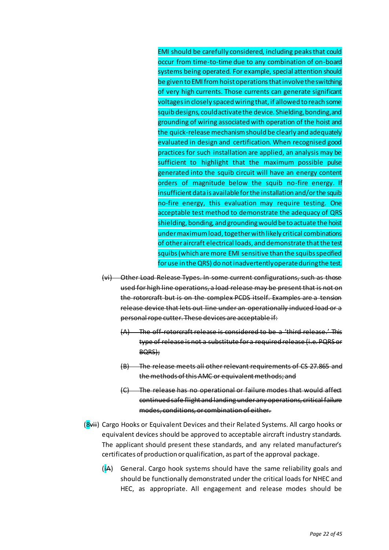EMI should be carefully considered, including peaks that could occur from time-to-time due to any combination of on-board systems being operated. For example, special attention should be given to EMI from hoist operations that involve the switching of very high currents. Those currents can generate significant voltages in closely spaced wiring that, if allowed to reach some squib designs, could activate the device. Shielding, bonding, and grounding of wiring associated with operation of the hoist and the quick-release mechanism should be clearly and adequately evaluated in design and certification. When recognised good practices for such installation are applied, an analysis may be sufficient to highlight that the maximum possible pulse generated into the squib circuit will have an energy content orders of magnitude below the squib no-fire energy. If insufficient data is available for the installation and/or the squib no-fire energy, this evaluation may require testing. One acceptable test method to demonstrate the adequacy of QRS shielding, bonding, and grounding would be to actuate the hoist under maximum load, together with likely critical combinations of other aircraft electrical loads, and demonstrate that the test squibs (which are more EMI sensitive than the squibs specified for use in the QRS) do not inadvertently operate during the test.

- (vi) Other Load Release Types. In some current configurations, such as those used for high line operations, a load release may be present that is not on the rotorcraft but is on the complex PCDS itself. Examples are a tension release device that lets out line under an operationally induced load or a personal rope cutter. These devices are acceptable if:
	- (A) The off-rotorcraft release is considered to be a 'third release.' This type of release is not a substitute for a required release (i.e. PQRS or BQRS);
	- (B) The release meets all other relevant requirements of CS 27.865 and the methods of this AMC or equivalent methods; and
	- (C) The release has no operational or failure modes that would affect continued safe flight and landing under any operations, critical failure modes, conditions, or combination of either.
- (8vii) Cargo Hooks or Equivalent Devices and their Related Systems. All cargo hooks or equivalent devices should be approved to acceptable aircraft industry standards. The applicant should present these standards, and any related manufacturer's certificates of production or qualification, as part of the approval package.
	- $(i)$  General. Cargo hook systems should have the same reliability goals and should be functionally demonstrated under the critical loads for NHEC and HEC, as appropriate. All engagement and release modes should be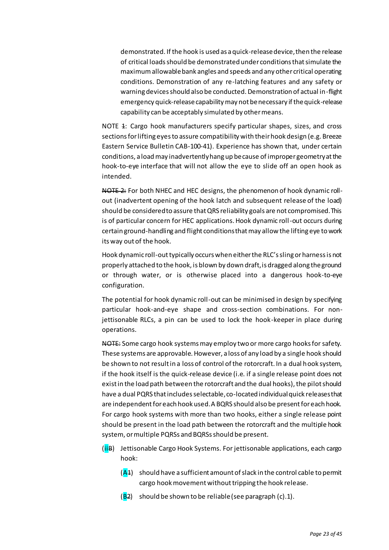demonstrated. If the hook is used as a quick-release device, then the release of critical loads should be demonstrated under conditions that simulate the maximum allowable bank angles and speeds and any other critical operating conditions. Demonstration of any re-latching features and any safety or warning devices should also be conducted. Demonstration of actual in-flight emergency quick-release capability may not be necessary if the quick-release capability can be acceptably simulated by other means.

NOTE 4: Cargo hook manufacturers specify particular shapes, sizes, and cross sections for lifting eyes to assure compatibility with their hook design (e.g. Breeze Eastern Service Bulletin CAB-100-41). Experience has shown that, under certain conditions, a load may inadvertently hang up because of improper geometry at the hook-to-eye interface that will not allow the eye to slide off an open hook as intended.

NOTE 2: For both NHEC and HEC designs, the phenomenon of hook dynamic rollout (inadvertent opening of the hook latch and subsequent release of the load) should be considered to assure that QRS reliability goals are not compromised. This is of particular concern for HEC applications. Hook dynamic roll-out occurs during certain ground-handling and flight conditions that may allow the lifting eye to work its way out of the hook.

Hook dynamic roll-out typically occurs when either the RLC's sling or harness is not properly attached to the hook, is blown by down draft, is dragged along the ground or through water, or is otherwise placed into a dangerous hook-to-eye configuration.

The potential for hook dynamic roll-out can be minimised in design by specifying particular hook-and-eye shape and cross-section combinations. For nonjettisonable RLCs, a pin can be used to lock the hook-keeper in place during operations.

NOTE: Some cargo hook systems may employ two or more cargo hooks for safety. These systems are approvable. However, a loss of any load by a single hook should be shown to not result in a loss of control of the rotorcraft. In a dual hook system, if the hook itself is the quick-release device (i.e. if a single release point does not exist in the load path between the rotorcraft and the dual hooks), the pilot should have a dual PQRS that includes selectable, co-located individual quick releases that are independent for each hook used. A BQRS should also be present for each hook. For cargo hook systems with more than two hooks, either a single release point should be present in the load path between the rotorcraft and the multiple hook system, or multiple PQRSs and BQRSs should be present.

(iiB) Jettisonable Cargo Hook Systems. For jettisonable applications, each cargo hook:

 $(A<sup>4</sup>)$  should have a sufficient amount of slack in the control cable to permit cargo hook movement without tripping the hook release.

 $(B2)$  should be shown to be reliable (see paragraph  $(c).1$ ).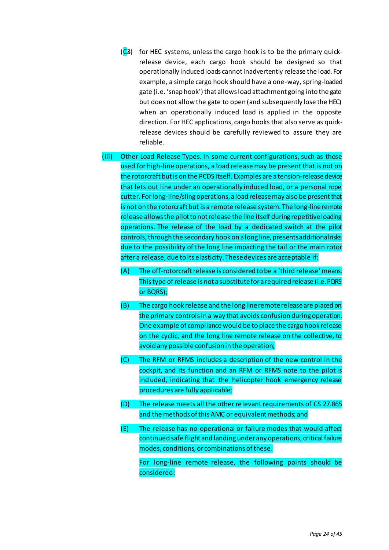- $(C_3)$  for HEC systems, unless the cargo hook is to be the primary quickrelease device, each cargo hook should be designed so that operationally induced loads cannot inadvertently release the load. For example, a simple cargo hook should have a one-way, spring-loaded gate (i.e. 'snap hook') that allows load attachment going into the gate but does not allow the gate to open (and subsequently lose the HEC) when an operationally induced load is applied in the opposite direction. For HEC applications, cargo hooks that also serve as quickrelease devices should be carefully reviewed to assure they are reliable.
- (iii) Other Load Release Types. In some current configurations, such as those used for high-line operations, a load release may be present that is not on the rotorcraft but is on the PCDS itself. Examples are a tension-release device that lets out line under an operationally induced load, or a personal rope cutter. For long-line/sling operations, a load release may also be present that is not on the rotorcraft but is a remote release system. The long-line remote release allows the pilot to not release the line itself during repetitive loading operations. The release of the load by a dedicated switch at the pilot controls, through the secondary hook on a long line, presents additional risks due to the possibility of the long line impacting the tail or the main rotor after a release, due to its elasticity. These devices are acceptable if:
	- (A) The off-rotorcraft release is considered to be a 'third release' means. This type of release is not a substitute for a required release (i.e. PQRS or BQRS);
	- (B) The cargo hook release and the long line remote release are placed on the primary controls in a way that avoids confusion during operation. One example of compliance would be to place the cargo hook release on the cyclic, and the long line remote release on the collective, to avoid any possible confusion in the operation;
	- (C) The RFM or RFMS includes a description of the new control in the cockpit, and its function and an RFM or RFMS note to the pilot is included, indicating that the helicopter hook emergency release procedures are fully applicable;
	- (D) The release meets all the other relevant requirements of CS 27.865 and the methods of this AMC or equivalent methods; and
	- (E) The release has no operational or failure modes that would affect continued safe flight and landing under any operations, critical failure modes, conditions, or combinations of these.

For long-line remote release, the following points should be considered: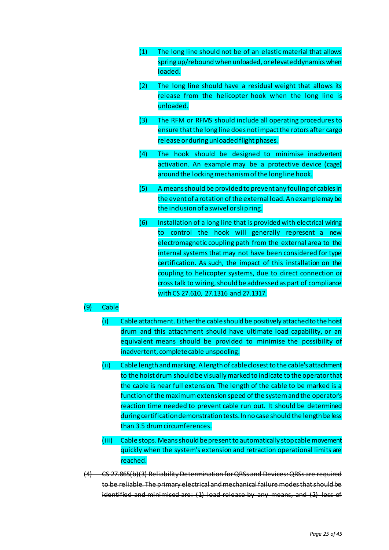- (1) The long line should not be of an elastic material that allows spring up/rebound when unloaded, or elevated dynamics when loaded.
- (2) The long line should have a residual weight that allows its release from the helicopter hook when the long line is unloaded.
- (3) The RFM or RFMS should include all operating procedures to ensure that the long line does not impact the rotors after cargo release or during unloaded flight phases.
- (4) The hook should be designed to minimise inadvertent activation. An example may be a protective device (cage) around the locking mechanism of the long line hook.
- (5) A means should be provided to prevent any fouling of cables in the event of a rotation of the external load. An example may be the inclusion of a swivel or slip ring.
- (6) Installation of a long line that is provided with electrical wiring to control the hook will generally represent a new electromagnetic coupling path from the external area to the internal systems that may not have been considered for type certification. As such, the impact of this installation on the coupling to helicopter systems, due to direct connection or cross talk to wiring, should be addressed as part of compliance with CS 27.610, 27.1316 and 27.1317.

# (9) Cable

- (i) Cable attachment. Either the cable should be positively attached to the hoist drum and this attachment should have ultimate load capability, or an equivalent means should be provided to minimise the possibility of inadvertent, complete cable unspooling.
- (ii) Cable length and marking. A length of cable closest to the cable's attachment to the hoist drum should be visually marked to indicate to the operator that the cable is near full extension. The length of the cable to be marked is a function of the maximum extension speed of the system and the operator's reaction time needed to prevent cable run out. It should be determined during certification demonstration tests. In no case should the length be less than 3.5 drum circumferences.
- (iii) Cable stops. Means should be present to automatically stop cable movement quickly when the system's extension and retraction operational limits are reached.
- (4) CS 27.865(b)(3) Reliability Determination for QRSs and Devices: QRSs are required to be reliable. The primary electrical and mechanical failure modes that should be identified and minimised are:  $(1)$  load release by any means, and  $(2)$  loss of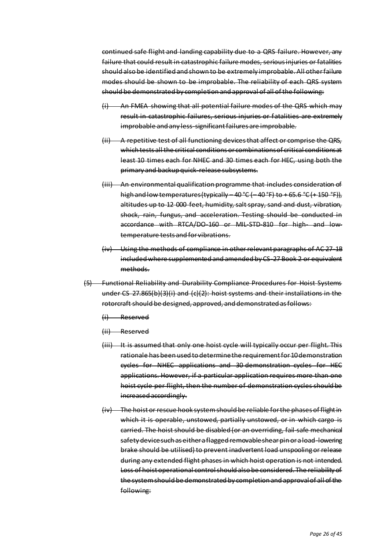continued safe flight and landing capability due to a QRS failure. However, any failure that could result in catastrophic failure modes, serious injuries or fatalities should also be identified and shown to be extremely improbable. All other failure modes should be shown to be improbable. The reliability of each QRS system should be demonstrated by completion and approval of all of the following:

- (i) An FMEA showing that all potential failure modes of the QRS which may result in catastrophic failures, serious injuries or fatalities are extremely improbable and any less-significant failures are improbable.
- (ii) A repetitive test of all functioning devices that affect or comprise the QRS, which tests all the critical conditions or combinations of critical conditions at least 10 times each for NHEC and 30 times each for HEC, using both the primary and backup quick-release subsystems.
- (iii) An environmental qualification programme that includes consideration of high and low temperatures (typically  $-40\degree C$  ( $-40\degree F$ ) to  $+65.6\degree C$  ( $+150\degree F$ )), altitudes up to 12 000 feet, humidity, salt spray, sand and dust, vibration, shock, rain, fungus, and acceleration. Testing should be conducted in accordance with RTCA/DO-160 or MIL-STD-810 for high- and lowtemperature tests and for vibrations.
- (iv) Using the methods of compliance in other relevant paragraphs of AC 27-1B included where supplemented and amended by CS-27 Book 2 or equivalent methods.
- (5) Functional Reliability and Durability Compliance Procedures for Hoist Systems under CS 27.865(b)(3)(i) and (c)(2): hoist systems and their installations in the rotorcraft should be designed, approved, and demonstrated as follows:
	- (i) Reserved
	- (ii) Reserved
	- (iii) It is assumed that only one hoist cycle will typically occur per flight. This rationale has been used to determine the requirement for 10 demonstration cycles for NHEC applications and 30 demonstration cycles for HEC applications. However, if a particular application requires more than one hoist cycle per flight, then the number of demonstration cycles should be increased accordingly.
	- (iv) The hoist or rescue hook system should be reliable for the phases of flight in which it is operable, unstowed, partially unstowed, or in which cargo is carried. The hoist should be disabled (or an overriding, fail-safe mechanical safety device such as either a flagged removable shear pin or a load-lowering brake should be utilised) to prevent inadvertent load unspooling or release during any extended flight phases in which hoist operation is not intended. Loss of hoist operational control should also be considered. The reliability of the system should be demonstrated by completion and approval of all of the following: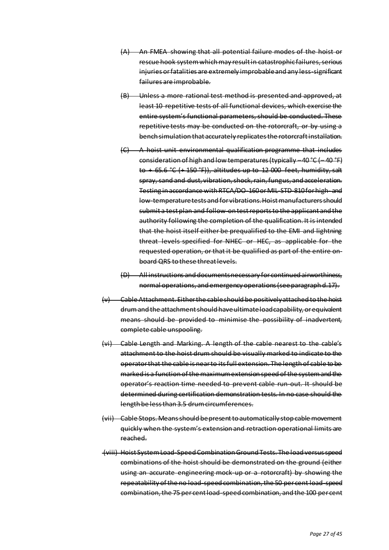- (A) An FMEA showing that all potential failure modes of the hoist or rescue hook system which may result in catastrophic failures, serious injuries or fatalities are extremely improbable and any less-significant failures are improbable.
- (B) Unless a more rational test method is presented and approved, at least 10 repetitive tests of all functional devices, which exercise the entire system's functional parameters, should be conducted. These repetitive tests may be conducted on the rotorcraft, or by using a bench simulation that accurately replicates the rotorcraft installation.
- (C) A hoist unit environmental qualification programme that includes consideration of high and low temperatures (typically –40 °C (– 40 °F) to + 65.6 °C (+ 150 °F)), altitudes up to 12 000 feet, humidity, salt spray, sand and dust, vibration, shock, rain, fungus, and acceleration. Testing in accordance with RTCA/DO-160 or MIL-STD-810 for high- and low-temperature tests and for vibrations. Hoist manufacturers should submit a test plan and follow-on test reports to the applicant and the authority following the completion of the qualification. It is intended that the hoist itself either be prequalified to the EMI and lightning threat levels specified for NHEC or HEC, as applicable for the requested operation, or that it be qualified as part of the entire onboard QRS to these threat levels.
- (D) All instructions and documents necessary for continued airworthiness, normal operations, and emergency operations (see paragraph d.17).
- (v) Cable Attachment. Either the cable should be positively attached to the hoist drum and the attachment should have ultimate load capability, or equivalent means should be provided to minimise the possibility of inadvertent, complete cable unspooling.
- (vi) Cable Length and Marking. A length of the cable nearest to the cable's attachment to the hoist drum should be visually marked to indicate to the operator that the cable is near to its full extension. The length of cable to be marked is a function of the maximum extension speed of the system and the operator's reaction time needed to prevent cable run-out. It should be determined during certification demonstration tests. In no case should the length be less than 3.5 drum circumferences.
- (vii) Cable Stops. Means should be present to automatically stop cable movement quickly when the system's extension and retraction operational limits are reached.
- (viii) Hoist System Load-Speed Combination Ground Tests. The load versus speed combinations of the hoist should be demonstrated on the ground (either using an accurate engineering mock-up or a rotorcraft) by showing the repeatability of the no load-speed combination, the 50 per cent load-speed combination, the 75 per cent load-speed combination, and the 100 per cent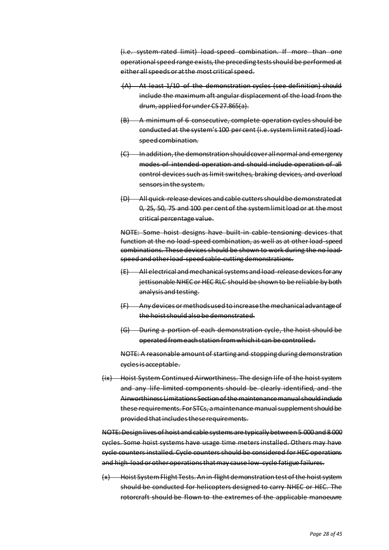(i.e. system-rated limit) load-speed combination. If more than one operational speed range exists, the preceding tests should be performed at either all speeds or at the most critical speed.

- (A) At least 1/10 of the demonstration cycles (see definition) should include the maximum aft angular displacement of the load from the drum, applied for under CS 27.865(a).
- (B) A minimum of 6 consecutive, complete operation cycles should be conducted at the system's 100 per cent (i.e. system limit rated) loadspeed combination.
- (C) In addition, the demonstration should cover all normal and emergency modes of intended operation and should include operation of all control devices such as limit switches, braking devices, and overload sensors in the system.
- (D) All quick-release devices and cable cutters should be demonstrated at 0, 25, 50, 75 and 100 per cent of the system limit load or at the most critical percentage value.

NOTE: Some hoist designs have built-in cable-tensioning devices that function at the no load-speed combination, as well as at other load-speed combinations. These devices should be shown to work during the no loadspeed and other load-speed cable-cutting demonstrations.

- (E) All electrical and mechanical systems and load-release devices for any jettisonable NHEC or HEC RLC should be shown to be reliable by both analysis and testing.
- (F) Any devices or methods used to increase the mechanical advantage of the hoist should also be demonstrated.
- (G) During a portion of each demonstration cycle, the hoist should be operated from each station from which it can be controlled.

NOTE: A reasonable amount of starting and stopping during demonstration cycles is acceptable.

(ix) Hoist System Continued Airworthiness. The design life of the hoist system and any life-limited components should be clearly identified, and the Airworthiness Limitations Section of the maintenance manual should include these requirements. For STCs, a maintenance manual supplement should be provided that includes these requirements.

NOTE: Design lives of hoist and cable systems are typically between 5 000 and 8 000 cycles. Some hoist systems have usage time meters installed. Others may have cycle counters installed. Cycle counters should be considered for HEC operations and high-load or other operations that may cause low-cycle fatigue failures.

(x) Hoist System Flight Tests. An in-flight demonstration test of the hoist system should be conducted for helicopters designed to carry NHEC or HEC. The rotorcraft should be flown to the extremes of the applicable manoeuvre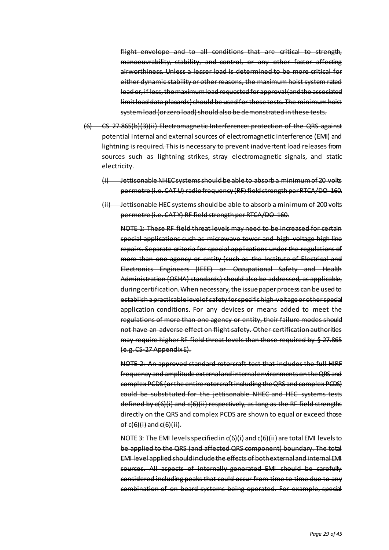flight envelope and to all conditions that are critical to strength, manoeuvrability, stability, and control, or any other factor affecting airworthiness. Unless a lesser load is determined to be more critical for either dynamic stability or other reasons, the maximum hoist system rated load or, if less, the maximum load requested for approval (and the associated limit load data placards) should be used for these tests. The minimum hoist system load (or zero load) should also be demonstrated in these tests.

- (6) CS 27.865(b)(3)(ii) Electromagnetic Interference: protection of the QRS against potential internal and external sources of electromagnetic interference (EMI) and lightning is required. This is necessary to prevent inadvertent load releases from sources such as lightning strikes, stray electromagnetic signals, and static electricity.
	- (i) Jettisonable NHEC systems should be able to absorb a minimum of 20 volts per metre (i.e. CATU) radio frequency (RF) field strength per RTCA/DO-160.
	- (ii) Jettisonable HEC systems should be able to absorb a minimum of 200 volts per metre (i.e. CAT Y) RF field strength per RTCA/DO-160.

NOTE 1: These RF field threat levels may need to be increased for certain special applications such as microwave tower and high-voltage high line repairs. Separate criteria for special applications under the regulations of more than one agency or entity (such as the Institute of Electrical and Electronics Engineers (IEEE) or Occupational Safety and Health Administration (OSHA) standards) should also be addressed, as applicable, during certification. When necessary, the issue paper process can be used to establish a practicable level of safety for specific high-voltage or other special application conditions. For any devices or means added to meet the regulations of more than one agency or entity, their failure modes should not have an adverse effect on flight safety. Other certification authorities may require higher RF field threat levels than those required by § 27.865 (e.g. CS-27 Appendix E).

NOTE 2: An approved standard rotorcraft test that includes the full HIRF frequency and amplitude external and internal environments on the QRS and complex PCDS (or the entire rotorcraft including the QRS and complex PCDS) could be substituted for the jettisonable NHEC and HEC systems tests defined by c(6)(i) and c(6)(ii) respectively, as long as the RF field strengths directly on the QRS and complex PCDS are shown to equal or exceed those of  $c(6)(i)$  and  $c(6)(ii)$ .

NOTE 3: The EMI levels specified in c(6)(i) and c(6)(ii) are total EMI levels to be applied to the QRS (and affected QRS component) boundary. The total EMI level applied should include the effects of both external and internal EMI sources. All aspects of internally generated EMI should be carefully considered including peaks that could occur from time to time due to any combination of on-board systems being operated. For example, special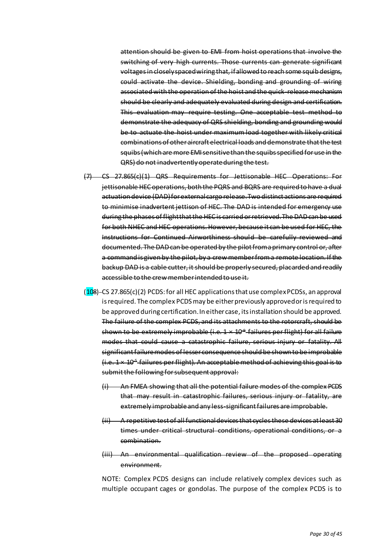attention should be given to EMI from hoist operations that involve the switching of very high currents. Those currents can generate significant voltages in closely spaced wiring that, if allowed to reach some squib designs, could activate the device. Shielding, bonding and grounding of wiring associated with the operation of the hoist and the quick-release mechanism should be clearly and adequately evaluated during design and certification. This evaluation may require testing. One acceptable test method to demonstrate the adequacy of QRS shielding, bonding and grounding would be to actuate the hoist under maximum load together with likely critical combinations of other aircraft electrical loads and demonstrate that the test squibs (which are more EMI sensitive than the squibs specified for use in the QRS) do not inadvertently operate during the test.

- (7) CS 27.865(c)(1) QRS Requirements for Jettisonable HEC Operations: For jettisonable HEC operations, both the PQRS and BQRS are required to have a dual actuation device (DAD) for external cargo release. Two distinct actions are required to minimise inadvertent jettison of HEC. The DAD is intended for emergency use during the phases of flight that the HEC is carried or retrieved. The DAD can be used for both NHEC and HEC operations. However, because it can be used for HEC, the Instructions for Continued Airworthiness should be carefully reviewed and documented. The DAD can be operated by the pilot from a primary control or, after a command is given by the pilot, by a crew member from a remote location. If the backup DAD is a cable cutter, it should be properly secured, placarded and readily accessible to the crew member intended to use it.
- $(108)$ -CS 27.865(c)(2) PCDS: for all HEC applications that use complex PCDSs, an approval is required. The complex PCDS may be either previously approved or is required to be approved during certification. In either case, its installation should be approved. The failure of the complex PCDS, and its attachments to the rotorcraft, should be shown to be extremely improbable (i.e. 1 × 10<sup>-9</sup> failures per flight) for all failure modes that could cause a catastrophic failure, serious injury or fatality. All significant failure modes of lesser consequence should be shown to be improbable (i.e. 1 × 10-5 failures per flight). An acceptable method of achieving this goal is to submit the following for subsequent approval:
	- (i) An FMEA showing that all the potential failure modes of the complex PCDS that may result in catastrophic failures, serious injury or fatality, are extremely improbable and any less-significant failures are improbable.
	- (ii) A repetitive test of all functional devices that cycles these devices at least 30 times under critical structural conditions, operational conditions, or a combination.
	- (iii) An environmental qualification review of the proposed operating environment.

NOTE: Complex PCDS designs can include relatively complex devices such as multiple occupant cages or gondolas. The purpose of the complex PCDS is to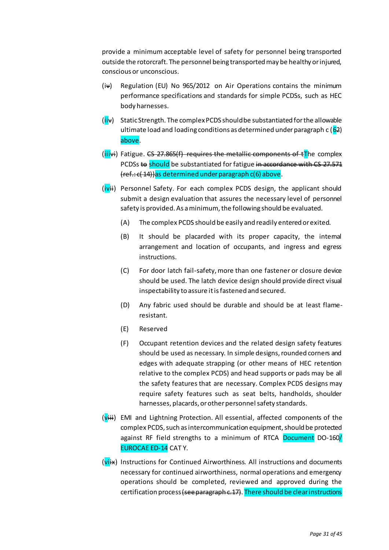provide a minimum acceptable level of safety for personnel being transported outside the rotorcraft. The personnel being transported may be healthy or injured, conscious or unconscious.

- $(iv)$  Regulation (EU) No 965/2012 on Air Operations contains the minimum performance specifications and standards for simple PCDSs, such as HEC body harnesses.
- $(iii\mathbf{v})$  Static Strength. The complex PCDS should be substantiated for the allowable ultimate load and loading conditions as determined under paragraph  $c$  ( $62$ ) above.
- $(iii\leftrightarrow)$  Fatigue. CS 27.865(f) requires the metallic components of tThe complex PCDSs to should be substantiated for fatigue in accordance with CS 27.571 (ref.: c( 14))as determined under paragraph c(6) above.
- (ivii) Personnel Safety. For each complex PCDS design, the applicant should submit a design evaluation that assures the necessary level of personnel safety is provided. As a minimum, the following should be evaluated.
	- (A) The complex PCDS should be easily and readily entered or exited.
	- (B) It should be placarded with its proper capacity, the internal arrangement and location of occupants, and ingress and egress instructions.
	- (C) For door latch fail-safety, more than one fastener or closure device should be used. The latch device design should provide direct visual inspectability to assure it is fastened and secured.
	- (D) Any fabric used should be durable and should be at least flameresistant.
	- (E) Reserved
	- (F) Occupant retention devices and the related design safety features should be used as necessary. In simple designs, rounded corners and edges with adequate strapping (or other means of HEC retention relative to the complex PCDS) and head supports or pads may be all the safety features that are necessary. Complex PCDS designs may require safety features such as seat belts, handholds, shoulder harnesses, placards, or other personnel safety standards.
- (viii) EMI and Lightning Protection. All essential, affected components of the complex PCDS, such as intercommunication equipment, should be protected against RF field strengths to a minimum of RTCA Document DO-160/ EUROCAE ED-14 CAT Y.
- $(vi\rightarrow w)$  Instructions for Continued Airworthiness. All instructions and documents necessary for continued airworthiness, normal operations and emergency operations should be completed, reviewed and approved during the certification process (see paragraph c. 17). There should be clear instructions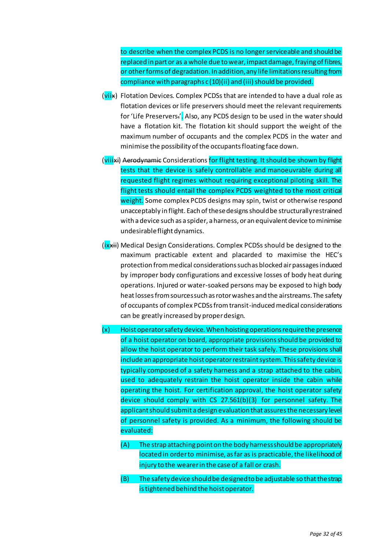to describe when the complex PCDS is no longer serviceable and should be replaced in part or as a whole due to wear, impact damage, fraying of fibres, or other forms of degradation. In addition, any life limitations resulting from compliance with paragraphs c (10)(ii) and (iii) should be provided.

- (viix) Flotation Devices. Complex PCDSs that are intended to have a dual role as flotation devices or life preservers should meet the relevant requirements for 'Life Preservers.'. Also, any PCDS design to be used in the water should have a flotation kit. The flotation kit should support the weight of the maximum number of occupants and the complex PCDS in the water and minimise the possibility of the occupants floating face down.
- (viiixi) Aerodynamic Considerations for flight testing. It should be shown by flight tests that the device is safely controllable and manoeuvrable during all requested flight regimes without requiring exceptional piloting skill. The flight tests should entail the complex PCDS weighted to the most critical weight. Some complex PCDS designs may spin, twist or otherwise respond unacceptably in flight. Each of these designs should be structurally restrained with a device such as a spider, a harness, or an equivalent device to minimise undesirable flight dynamics.
- (ix<sub>ii</sub>) Medical Design Considerations. Complex PCDSs should be designed to the maximum practicable extent and placarded to maximise the HEC's protection from medical considerations such as blocked air passages induced by improper body configurations and excessive losses of body heat during operations. Injured or water-soaked persons may be exposed to high body heat losses from sources such as rotor washes and the airstreams. The safety of occupants of complex PCDSs from transit-induced medical considerations can be greatly increased by proper design.
- (x) Hoist operator safety device. When hoisting operations require the presence of a hoist operator on board, appropriate provisions should be provided to allow the hoist operator to perform their task safely. These provisions shall include an appropriate hoist operator restraint system. This safety device is typically composed of a safety harness and a strap attached to the cabin, used to adequately restrain the hoist operator inside the cabin while operating the hoist. For certification approval, the hoist operator safety device should comply with CS 27.561(b)(3) for personnel safety. The applicant should submit a design evaluation that assures the necessary level of personnel safety is provided. As a minimum, the following should be evaluated:
	- (A) The strap attaching point on the body harness should be appropriately located in order to minimise, as far as is practicable, the likelihood of injury to the wearer in the case of a fall or crash.
	- (B) The safety device should be designed to be adjustable so that the strap is tightened behind the hoist operator.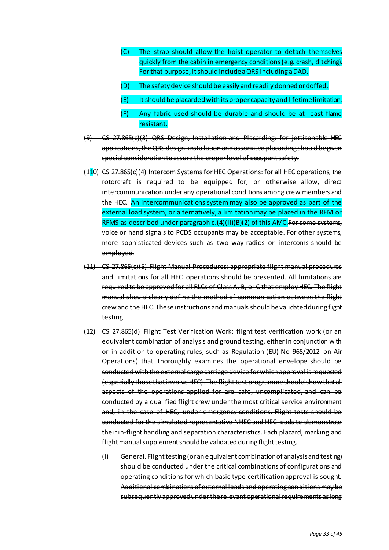- (C) The strap should allow the hoist operator to detach themselves quickly from the cabin in emergency conditions (e.g. crash, ditching). For that purpose, it should include a QRS including a DAD.
- (D) The safety device should be easily and readily donned or doffed.
- (E) It should be placarded with its proper capacity and lifetime limitation.
- (F) Any fabric used should be durable and should be at least flame resistant.
- (9) CS 27.865(c)(3) QRS Design, Installation and Placarding: for jettisonable HEC applications, the QRS design, installation and associated placarding should be given special consideration to assure the proper level of occupant safety.
- ( $110$ ) CS 27.865(c)(4) Intercom Systems for HEC Operations: for all HEC operations, the rotorcraft is required to be equipped for, or otherwise allow, direct intercommunication under any operational conditions among crew members and the HEC. An intercommunications system may also be approved as part of the external load system, or alternatively, a limitation may be placed in the RFM or RFMS as described under paragraph c.(4)(ii)(B)(2) of this AMC.For some systems, voice or hand signals to PCDS occupants may be acceptable. For other systems, more sophisticated devices such as two-way radios or intercoms should be employed.
- (11) CS 27.865(c)(5) Flight Manual Procedures: appropriate flight manual procedures and limitations for all HEC operations should be presented. All limitations are required to be approved for all RLCs of Class A, B, or C that employ HEC. The flight manual should clearly define the method of communication between the flight crew and the HEC. These instructions and manuals should be validated during flight testing.
- (12) CS 27.865(d) Flight Test Verification Work: flight test verification work (or an equivalent combination of analysis and ground testing, either in conjunction with or in addition to operating rules, such as Regulation (EU) No 965/2012 on Air Operations) that thoroughly examines the operational envelope should be conducted with the external cargo carriage device for which approval is requested (especially those that involve HEC). The flight test programme should show that all aspects of the operations applied for are safe, uncomplicated, and can be conducted by a qualified flight crew under the most critical service environment and, in the case of HEC, under emergency conditions. Flight tests should be conducted for the simulated representative NHEC and HEC loads to demonstrate their in-flight handling and separation characteristics. Each placard, marking and flight manual supplement should be validated during flight testing.
	- (i) General. Flight testing (or an equivalent combination of analysis and testing) should be conducted under the critical combinations of configurations and operating conditions for which basic type certification approval is sought. Additional combinations of external loads and operating conditions may be subsequently approved under the relevant operational requirements as long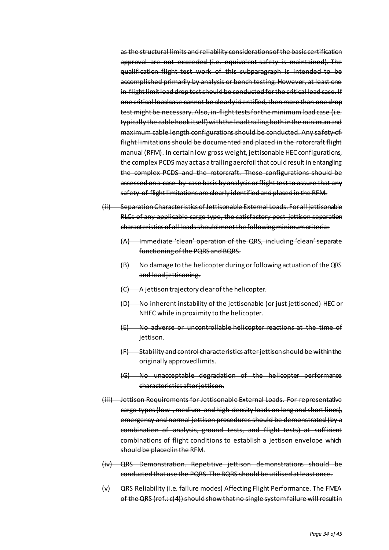as the structural limits and reliability considerations of the basic certification approval are not exceeded (i.e. equivalent safety is maintained). The qualification flight test work of this subparagraph is intended to be accomplished primarily by analysis or bench testing. However, at least one in-flight limit load drop test should be conducted for the critical load case. If one critical load case cannot be clearly identified, then more than one drop test might be necessary. Also, in-flight tests for the minimum load case (i.e. typically the cable hook itself) with the load trailing both in the minimum and maximum cable length configurations should be conducted. Any safety-offlight limitations should be documented and placed in the rotorcraft flight manual (RFM). In certain low gross weight, jettisonable HEC configurations, the complex PCDS may act as a trailing aerofoil that could result in entangling the complex PCDS and the rotorcraft. These configurations should be assessed on a case-by-case basis by analysis or flight test to assure that any safety-of-flight limitations are clearly identified and placed in the RFM.

- (ii) Separation Characteristics of Jettisonable External Loads. For all jettisonable RLCs of any applicable cargo type, the satisfactory post-jettison separation characteristics of all loads should meet the following minimum criteria:
	- (A) Immediate 'clean' operation of the QRS, including 'clean' separate functioning of the PQRS and BQRS.
	- (B) No damage to the helicopter during or following actuation of the QRS and load jettisoning.
	- (C) A jettison trajectory clear of the helicopter.
	- (D) No inherent instability of the jettisonable (or just jettisoned) HEC or NHEC while in proximity to the helicopter.
	- (E) No adverse or uncontrollable helicopter reactions at the time of jettison.
	- (F) Stability and control characteristics after jettison should be within the originally approved limits.
	- (G) No unacceptable degradation of the helicopter performance characteristics after jettison.
- (iii) Jettison Requirements for Jettisonable External Loads. For representative cargo types (low-, medium- and high-density loads on long and short lines), emergency and normal jettison procedures should be demonstrated (by a combination of analysis, ground tests, and flight tests) at sufficient combinations of flight conditions to establish a jettison envelope which should be placed in the RFM.
- (iv) QRS Demonstration. Repetitive jettison demonstrations should be conducted that use the PQRS. The BQRS should be utilised at least once.
- (v) QRS Reliability (i.e. failure modes) Affecting Flight Performance. The FMEA of the QRS (ref.: c(4)) should show that no single system failure will result in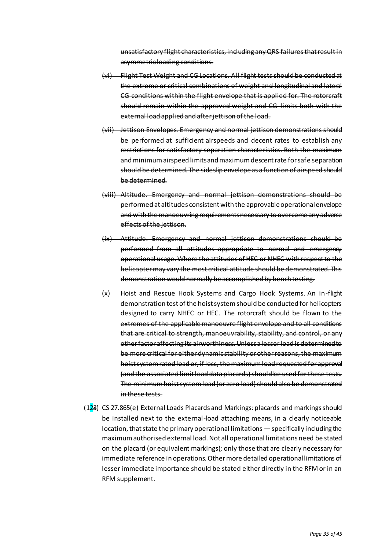unsatisfactory flight characteristics, including any QRS failures that result in asymmetric loading conditions.

- (vi) Flight Test Weight and CG Locations. All flight tests should be conducted at the extreme or critical combinations of weight and longitudinal and lateral CG conditions within the flight envelope that is applied for. The rotorcraft should remain within the approved weight and CG limits both with the external load applied and after jettison of the load.
- (vii) Jettison Envelopes. Emergency and normal jettison demonstrations should be performed at sufficient airspeeds and decent rates to establish any restrictions for satisfactory separation characteristics. Both the maximum and minimum airspeed limits and maximum descent rate for safe separation should be determined. The sideslip envelope as a function of airspeed should be determined.
- (viii) Altitude. Emergency and normal jettison demonstrations should be performed at altitudes consistent with the approvable operational envelope and with the manoeuvring requirements necessary to overcome any adverse effects of the jettison.
- (ix) Attitude. Emergency and normal jettison demonstrations should be performed from all attitudes appropriate to normal and emergency operational usage. Where the attitudes of HEC or NHEC with respect to the helicopter may vary the most critical attitude should be demonstrated. This demonstration would normally be accomplished by bench testing.
- (x) Hoist and Rescue Hook Systems and Cargo Hook Systems. An in-flight demonstration test of the hoist system should be conducted for helicopters designed to carry NHEC or HEC. The rotorcraft should be flown to the extremes of the applicable manoeuvre flight envelope and to all conditions that are critical to strength, manoeuvrability, stability, and control, or any other factor affecting its airworthiness. Unless a lesser load is determined to be more critical for either dynamic stability or other reasons, the maximum hoist system rated load or, if less, the maximum load requested for approval (and the associated limit load data placards) should be used for these tests. The minimum hoist system load (or zero load) should also be demonstrated in these tests.
- (123) CS 27.865(e) External Loads Placards and Markings: placards and markings should be installed next to the external-load attaching means, in a clearly noticeable location, that state the primary operational limitations — specifically including the maximum authorised external load. Not all operational limitations need be stated on the placard (or equivalent markings); only those that are clearly necessary for immediate reference in operations. Other more detailed operational limitations of lesser immediate importance should be stated either directly in the RFM or in an RFM supplement.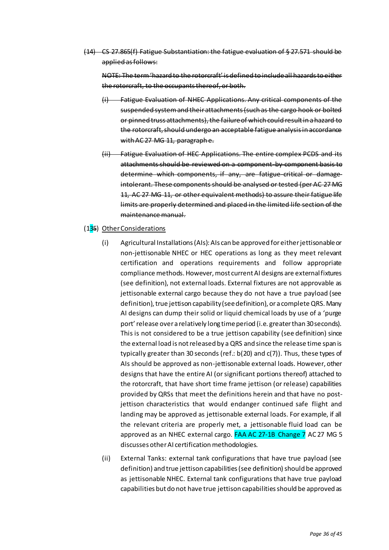(14) CS 27.865(f) Fatigue Substantiation: the fatigue evaluation of § 27.571 should be applied as follows:

NOTE: The term 'hazard to the rotorcraft' is defined to include all hazards to either the rotorcraft, to the occupants thereof, or both.

- Fatigue Evaluation of NHEC Applications. Any critical components of the suspended system and their attachments (such as the cargo hook or bolted or pinned truss attachments), the failure of which could result in a hazard to the rotorcraft, should undergo an acceptable fatigue analysis in accordance with AC 27 MG 11, paragraph e.
- (ii) Fatigue Evaluation of HEC Applications. The entire complex PCDS and its attachments should be reviewed on a component-by-component basis to determine which components, if any, are fatigue-critical or damageintolerant. These components should be analysed or tested (per AC 27 MG 11, AC 27 MG 11, or other equivalent methods) to assure their fatigue life limits are properly determined and placed in the limited life section of the maintenance manual.

## (135) Other Considerations

- (i) Agricultural Installations (AIs): AIs can be approved for either jettisonable or non-jettisonable NHEC or HEC operations as long as they meet relevant certification and operations requirements and follow appropriate compliance methods. However, most current AI designs are external fixtures (see definition), not external loads. External fixtures are not approvable as jettisonable external cargo because they do not have a true payload (see definition), true jettison capability (see definition), or a complete QRS. Many AI designs can dump their solid or liquid chemical loads by use of a 'purge port' release over a relatively long time period (i.e. greater than 30 seconds). This is not considered to be a true jettison capability (see definition) since the external load is not released by a QRS and since the release time span is typically greater than 30 seconds (ref.: b(20) and c(7)). Thus, these types of AIs should be approved as non-jettisonable external loads. However, other designs that have the entire AI (or significant portions thereof) attached to the rotorcraft, that have short time frame jettison (or release) capabilities provided by QRSs that meet the definitions herein and that have no postjettison characteristics that would endanger continued safe flight and landing may be approved as jettisonable external loads. For example, if all the relevant criteria are properly met, a jettisonable fluid load can be approved as an NHEC external cargo. **FAA AC 27-1B Change 7** AC 27 MG 5 discusses other AI certification methodologies.
- (ii) External Tanks: external tank configurations that have true payload (see definition) and true jettison capabilities (see definition) should be approved as jettisonable NHEC. External tank configurations that have true payload capabilities but do not have true jettison capabilities should be approved as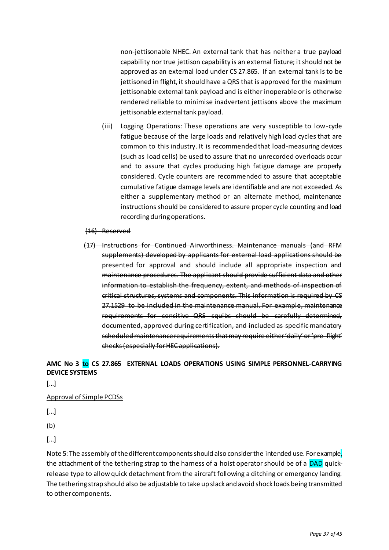non-jettisonable NHEC. An external tank that has neither a true payload capability nor true jettison capability is an external fixture; it should not be approved as an external load under CS 27.865. If an external tank is to be jettisoned in flight, it should have a QRS that is approved for the maximum jettisonable external tank payload and is either inoperable or is otherwise rendered reliable to minimise inadvertent jettisons above the maximum jettisonable external tank payload.

- (iii) Logging Operations: These operations are very susceptible to low-cycle fatigue because of the large loads and relatively high load cycles that are common to this industry. It is recommended that load-measuring devices (such as load cells) be used to assure that no unrecorded overloads occur and to assure that cycles producing high fatigue damage are properly considered. Cycle counters are recommended to assure that acceptable cumulative fatigue damage levels are identifiable and are not exceeded. As either a supplementary method or an alternate method, maintenance instructions should be considered to assure proper cycle counting and load recording during operations.
- (16) Reserved
- (17) Instructions for Continued Airworthiness. Maintenance manuals (and RFM supplements) developed by applicants for external load applications should be presented for approval and should include all appropriate inspection and maintenance procedures. The applicant should provide sufficient data and other information to establish the frequency, extent, and methods of inspection of critical structures, systems and components. This information is required by CS 27.1529 to be included in the maintenance manual. For example, maintenance requirements for sensitive QRS squibs should be carefully determined, documented, approved during certification, and included as specific mandatory scheduled maintenance requirements that may require either 'daily' or 'pre-flight' checks (especially for HEC applications).

# **AMC No 3 to CS 27.865 EXTERNAL LOADS OPERATIONS USING SIMPLE PERSONNEL-CARRYING DEVICE SYSTEMS**

[…]

# Approval of Simple PCDSs

 $\lceil$ ...]

(b)

[…]

Note 5: The assembly of the different components should also consider the intended use. For example, the attachment of the tethering strap to the harness of a hoist operator should be of a DAD quickrelease type to allow quick detachment from the aircraft following a ditching or emergency landing. The tethering strap should also be adjustable to take up slack and avoid shock loads being transmitted to other components.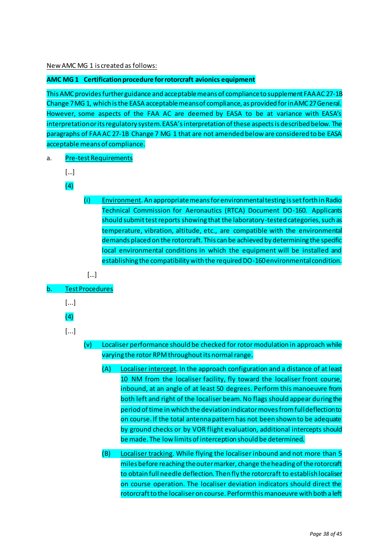New AMC MG 1 is created as follows:

## **AMC MG 1 Certification procedure for rotorcraft avionics equipment**

This AMC provides further guidance and acceptable means of compliance to supplement FAA AC 27-1B Change 7 MG 1, which is the EASA acceptable means of compliance, as provided for in AMC 27 General. However, some aspects of the FAA AC are deemed by EASA to be at variance with EASA's interpretation or its regulatory system. EASA's interpretation of these aspects is described below. The paragraphs of FAA AC 27-1B Change 7 MG 1 that are not amended below are considered to be EASA acceptable means of compliance.

- a. Pre-test Requirements
	- […]
	- $(4)$
- (i) Environment. An appropriate means for environmental testing is set forth in Radio Technical Commission for Aeronautics (RTCA) Document DO-160. Applicants should submit test reports showing that the laboratory-tested categories, such as temperature, vibration, altitude, etc., are compatible with the environmental demands placed on the rotorcraft. This can be achieved by determining the specific local environmental conditions in which the equipment will be installed and establishing the compatibility with the required DO-160 environmental condition.
- […]
- b. Test Procedures
	- [...]
	- (4)
	-
	- [...]
- (v) Localiser performance should be checked for rotor modulation in approach while varying the rotor RPM throughout its normal range.
	- (A) Localiser intercept. In the approach configuration and a distance of at least 10 NM from the localiser facility, fly toward the localiser front course, inbound, at an angle of at least 50 degrees. Perform this manoeuvre from both left and right of the localiser beam. No flags should appear during the period of time in which the deviation indicator moves from full deflection to on course. If the total antenna pattern has not been shown to be adequate by ground checks or by VOR flight evaluation, additional intercepts should be made. The low limits of interception should be determined.
	- (B) Localiser tracking. While flying the localiser inbound and not more than 5 miles before reaching the outer marker, change the heading of the rotorcraft to obtain full needle deflection. Then fly the rotorcraft to establish localiser on course operation. The localiser deviation indicators should direct the rotorcraft to the localiser on course. Perform this manoeuvre with both a left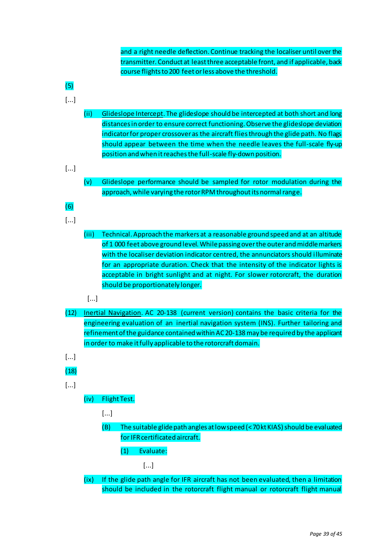and a right needle deflection. Continue tracking the localiser until over the transmitter. Conduct at least three acceptable front, and if applicable, back course flights to 200 feet or less above the threshold.

- (5) [...] (ii) Glideslope Intercept. The glideslope should be intercepted at both short and long distances in order to ensure correct functioning. Observe the glideslope deviation indicator for proper crossover as the aircraft flies through the glide path. No flags should appear between the time when the needle leaves the full-scale fly-up position and when it reaches the full-scale fly-down position. [...] (v) Glideslope performance should be sampled for rotor modulation during the approach, while varying the rotor RPM throughout its normal range. (6) [...] (iii) Technical. Approach the markers at a reasonable ground speed and at an altitude of 1 000 feet above ground level. While passing over the outer and middle markers with the localiser deviation indicator centred, the annunciators should illuminate for an appropriate duration. Check that the intensity of the indicator lights is acceptable in bright sunlight and at night. For slower rotorcraft, the duration should be proportionately longer. [...] (12) Inertial Navigation. AC 20-138 (current version) contains the basic criteria for the engineering evaluation of an inertial navigation system (INS). Further tailoring and refinement of the guidance contained within AC 20-138 may be required by the applicant in order to make it fully applicable to the rotorcraft domain. [...] (18) [...] (iv) Flight Test. [...] (B) The suitable glide path angles at low speed (< 70 kt KIAS) should be evaluated for IFR certificated aircraft. (1) Evaluate:
	- [...]
	- (ix) If the glide path angle for IFR aircraft has not been evaluated, then a limitation should be included in the rotorcraft flight manual or rotorcraft flight manual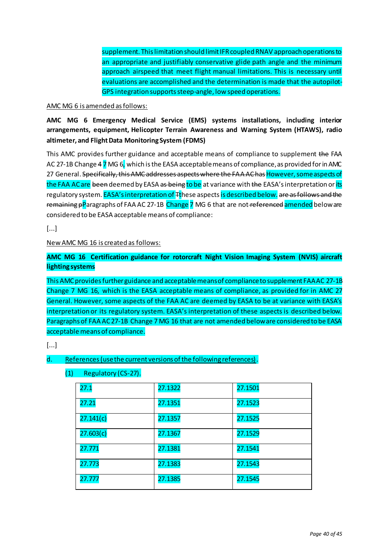supplement. This limitation should limit IFR coupled RNAV approach operations to an appropriate and justifiably conservative glide path angle and the minimum approach airspeed that meet flight manual limitations. This is necessary until evaluations are accomplished and the determination is made that the autopilot-GPS integration supports steep-angle, low speed operations.

## AMC MG 6 is amended as follows:

**AMC MG 6 Emergency Medical Service (EMS) systems installations, including interior arrangements, equipment, Helicopter Terrain Awareness and Warning System (HTAWS), radio altimeter, and Flight Data Monitoring System (FDMS)** 

This AMC provides further guidance and acceptable means of compliance to supplement the FAA AC 27-1B Change 4 7 MG 6, which is the EASA acceptable means of compliance, as provided for in AMC 27 General. Specifically, this AMC addresses aspects where the FAA AC has However, some aspects of the FAA AC are been deemed by EASA as being to be at variance with the EASA's interpretation or its regulatory system. EASA's interpretation of  $F$ these aspects is described below. are as follows and the remaining pParagraphs of FAA AC 27-1B Change 7 MG 6 that are not referenced amended below are considered to be EASA acceptable means of compliance:

[...]

# New AMC MG 16 is created as follows:

**AMC MG 16 Certification guidance for rotorcraft Night Vision Imaging System (NVIS) aircraft lighting systems**

This AMC provides further guidance and acceptable means of compliance to supplement FAA AC 27-1B Change 7 MG 16, which is the EASA acceptable means of compliance, as provided for in AMC 27 General. However, some aspects of the FAA AC are deemed by EASA to be at variance with EASA's interpretation or its regulatory system. EASA's interpretation of these aspects is described below. Paragraphs of FAA AC 27-1B Change 7 MG 16 that are not amended below are considered to be EASA acceptable means of compliance.

[...]

# d. References (use the current versions of the following references).

| (1) | Regulatory (CS-27). |         |
|-----|---------------------|---------|
|     | 27.1                | 27.1322 |
|     |                     | 27.ISS. |

| 27.1      | 27.1322 | 27.1501 |
|-----------|---------|---------|
| 27.21     | 27.1351 | 27.1523 |
| 27.141(c) | 27.1357 | 27.1525 |
| 27.603(c) | 27.1367 | 27.1529 |
| 27.771    | 27.1381 | 27.1541 |
| 27.773    | 27.1383 | 27.1543 |
| 27.777    | 27.1385 | 27.1545 |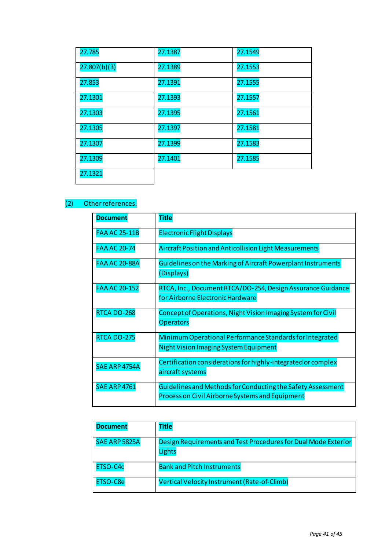| 27.785       | 27.1387 | 27.1549 |
|--------------|---------|---------|
| 27.807(b)(3) | 27.1389 | 27.1553 |
| 27.853       | 27.1391 | 27.1555 |
| 27.1301      | 27.1393 | 27.1557 |
| 27.1303      | 27.1395 | 27.1561 |
| 27.1305      | 27.1397 | 27.1581 |
| 27.1307      | 27.1399 | 27.1583 |
| 27.1309      | 27.1401 | 27.1585 |
| 27.1321      |         |         |

# (2) Other references.

| <b>Document</b>      | <b>Title</b>                                                                                                   |
|----------------------|----------------------------------------------------------------------------------------------------------------|
| <b>FAA AC 25-11B</b> | <b>Electronic Flight Displays</b>                                                                              |
| <b>FAA AC 20-74</b>  | Aircraft Position and Anticollision Light Measurements                                                         |
| <b>FAA AC 20-88A</b> | Guidelines on the Marking of Aircraft Powerplant Instruments<br>(Displays)                                     |
| <b>FAA AC 20-152</b> | RTCA, Inc., Document RTCA/DO-254, Design Assurance Guidance<br>for Airborne Electronic Hardware                |
| RTCA DO-268          | Concept of Operations, Night Vision Imaging System for Civil<br><b>Operators</b>                               |
| <b>RTCA DO-275</b>   | Minimum Operational Performance Standards for Integrated<br>Night Vision Imaging System Equipment              |
| SAE ARP 4754A        | Certification considerations for highly-integrated or complex<br>aircraft systems                              |
| <b>SAE ARP 4761</b>  | Guidelines and Methods for Conducting the Safety Assessment<br>Process on Civil Airborne Systems and Equipment |

| <b>Document</b> | Title                                                                           |
|-----------------|---------------------------------------------------------------------------------|
| SAE ARP 5825A   | Design Requirements and Test Procedures for Dual Mode Exterior<br><b>Lights</b> |
| ETSO-C4c        | <b>Bank and Pitch Instruments</b>                                               |
| ETSO-C8e        | Vertical Velocity Instrument (Rate-of-Climb)                                    |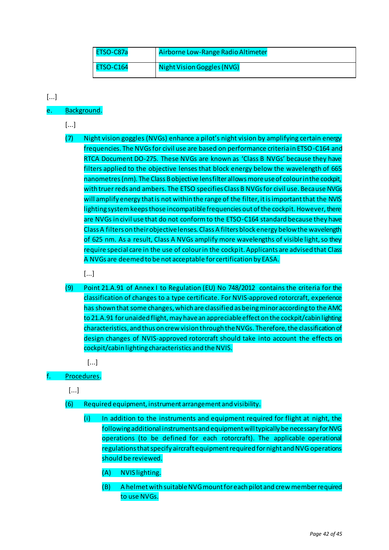| ETSO-C87a        | Airborne Low-Range Radio Altimeter |
|------------------|------------------------------------|
| <b>ETSO-C164</b> | Night Vision Goggles (NVG)         |

# [...]

# e. Background.

- [...]
- (7) Night vision goggles (NVGs) enhance a pilot's night vision by amplifying certain energy frequencies. The NVGs for civil use are based on performance criteria in ETSO-C164 and RTCA Document DO-275. These NVGs are known as 'Class B NVGs' because they have filters applied to the objective lenses that block energy below the wavelength of 665 nanometres (nm). The Class B objective lens filter allows more use of colour in the cockpit, with truer reds and ambers. The ETSO specifies Class B NVGs for civil use. Because NVGs will amplify energy that is not within the range of the filter, it is important that the NVIS lighting system keeps those incompatible frequencies out of the cockpit. However, there are NVGs in civil use that do not conform to the ETSO-C164 standard because they have Class A filters on their objective lenses. Class A filters block energy below the wavelength of 625 nm. As a result, Class A NVGs amplify more wavelengths of visible light, so they require special care in the use of colour in the cockpit. Applicants are advised that Class A NVGs are deemed to be not acceptable for certification by EASA.
	- [...]
- (9) Point 21.A.91 of Annex I to Regulation (EU) No 748/2012 contains the criteria for the classification of changes to a type certificate. For NVIS-approved rotorcraft, experience has shown that some changes, which are classified as being minor according to the AMC to 21.A.91 for unaided flight, may have an appreciable effect on the cockpit/cabin lighting characteristics, and thus on crew vision through the NVGs. Therefore, the classification of design changes of NVIS-approved rotorcraft should take into account the effects on cockpit/cabin lighting characteristics and the NVIS.

[...]

# Procedures.

[...]

- (6) Required equipment, instrument arrangement and visibility.
	- (i) In addition to the instruments and equipment required for flight at night, the following additional instruments and equipment will typically be necessary for NVG operations (to be defined for each rotorcraft). The applicable operational regulations that specify aircraft equipment required for night and NVG operations should be reviewed.
		- (A) NVIS lighting.
		- (B) A helmet with suitable NVG mount for each pilot and crew member required to use NVGs.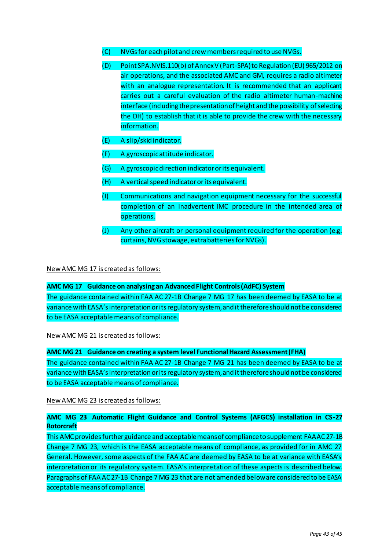- (C) NVGs for each pilot and crew members required to use NVGs.
- (D) Point SPA.NVIS.110(b) of Annex V (Part-SPA) to Regulation (EU) 965/2012 on air operations, and the associated AMC and GM, requires a radio altimeter with an analogue representation. It is recommended that an applicant carries out a careful evaluation of the radio altimeter human-machine interface (including the presentation of height and the possibility of selecting the DH) to establish that it is able to provide the crew with the necessary information.
- (E) A slip/skid indicator.
- (F) A gyroscopic attitude indicator.
- (G) A gyroscopic direction indicator or its equivalent.
- (H) A vertical speed indicator or its equivalent.
- (I) Communications and navigation equipment necessary for the successful completion of an inadvertent IMC procedure in the intended area of operations.
- (J) Any other aircraft or personal equipment required for the operation (e.g. curtains, NVG stowage, extra batteries for NVGs).

New AMC MG 17 is created as follows:

#### **AMC MG 17 Guidance on analysing an Advanced Flight Controls (AdFC) System**

The guidance contained within FAA AC 27-1B Change 7 MG 17 has been deemed by EASA to be at variance with EASA's interpretation or its regulatory system, and it therefore should not be considered to be EASA acceptable means of compliance.

New AMC MG 21 is created as follows:

**AMC MG 21 Guidance on creating a system level Functional Hazard Assessment (FHA)**

The guidance contained within FAA AC 27-1B Change 7 MG 21 has been deemed by EASA to be at variance with EASA's interpretation or its regulatory system, and it therefore should not be considered to be EASA acceptable means of compliance.

New AMC MG 23 is created as follows:

# **AMC MG 23 Automatic Flight Guidance and Control Systems (AFGCS) installation in CS-27 Rotorcraft**

This AMC provides further guidance and acceptable means of compliance to supplement FAA AC 27-1B Change 7 MG 23, which is the EASA acceptable means of compliance, as provided for in AMC 27 General. However, some aspects of the FAA AC are deemed by EASA to be at variance with EASA's interpretation or its regulatory system. EASA's interpretation of these aspects is described below. Paragraphs of FAA AC 27-1B Change 7 MG 23 that are not amended below are considered to be EASA acceptable means of compliance.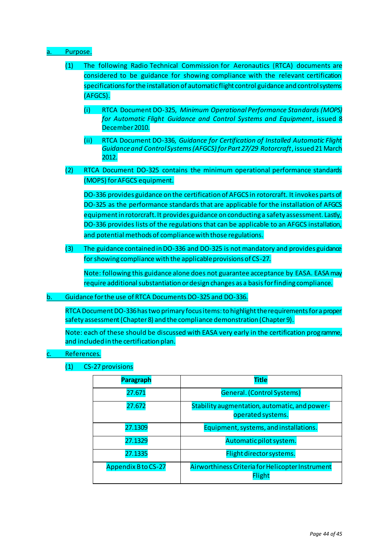## Purpose.

- (1) The following Radio Technical Commission for Aeronautics (RTCA) documents are considered to be guidance for showing compliance with the relevant certification specifications for the installation of automatic flight control guidance and control systems (AFGCS).
	- (i) RTCA Document DO-325, *Minimum Operational Performance Standards (MOPS) for Automatic Flight Guidance and Control Systems and Equipment*, issued 8 December 2010.
	- (ii) RTCA Document DO-336, *Guidance for Certification of Installed Automatic Flight Guidance and Control Systems (AFGCS) for Part 27/29 Rotorcraft*, issued 21 March 2012.
- (2) RTCA Document DO-325 contains the minimum operational performance standards (MOPS) for AFGCS equipment.

DO-336 provides guidance on the certification of AFGCS in rotorcraft. It invokes parts of DO-325 as the performance standards that are applicable for the installation of AFGCS equipment in rotorcraft. It provides guidance on conducting a safety assessment. Lastly, DO-336 provides lists of the regulations that can be applicable to an AFGCS installation, and potential methods of compliance with those regulations.

(3) The guidance contained in DO-336 and DO-325 is not mandatory and provides guidance for showing compliance with the applicable provisions of CS-27.

Note: following this guidance alone does not guarantee acceptance by EASA. EASA may require additional substantiation or design changes as a basis for finding compliance.

b. Guidance for the use of RTCA Documents DO-325 and DO-336.

RTCA Document DO-336 has two primary focus items: to highlight the requirements for a proper safety assessment (Chapter 8) and the compliance demonstration (Chapter 9).

Note: each of these should be discussed with EASA very early in the certification programme, and included in the certification plan.

#### References.

(1) CS-27 provisions

| <b>Paragraph</b>           | <b>Title</b>                                                       |  |
|----------------------------|--------------------------------------------------------------------|--|
| 27.671                     | General. (Control Systems)                                         |  |
| 27.672                     | Stability augmentation, automatic, and power-<br>operated systems. |  |
| 27.1309                    | Equipment, systems, and installations.                             |  |
| 27.1329                    | Automatic pilot system.                                            |  |
| 27.1335                    | Flight director systems.                                           |  |
| <b>Appendix B to CS-27</b> | Airworthiness Criteria for Helicopter Instrument<br><b>Flight</b>  |  |